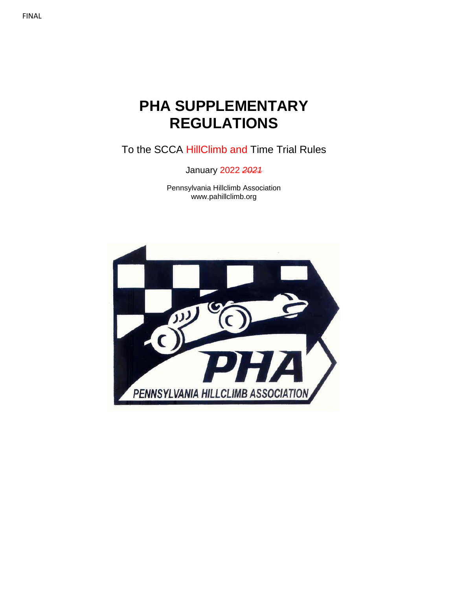## FINAL

# **PHA SUPPLEMENTARY REGULATIONS**

To the SCCA HillClimb and Time Trial Rules

January 2022 *2021*

Pennsylvania Hillclimb Association www.pahillclimb.org

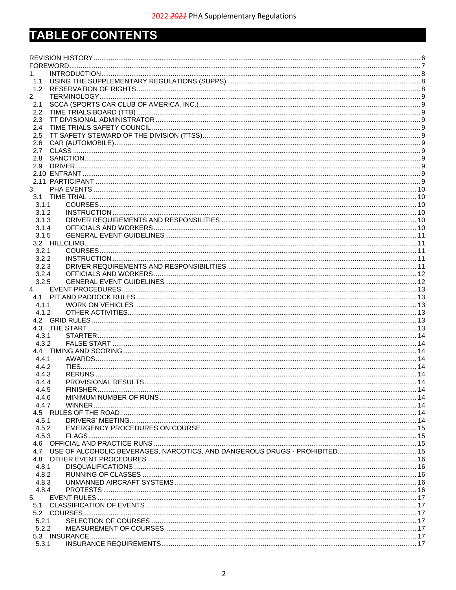# TABLE OF CONTENTS

| 1.             |                                                                             |  |
|----------------|-----------------------------------------------------------------------------|--|
| 1.1            |                                                                             |  |
| 1.2            |                                                                             |  |
| 2.             |                                                                             |  |
| 2.1            |                                                                             |  |
| $2.2^{\circ}$  |                                                                             |  |
| 2.3            |                                                                             |  |
| 2.4            |                                                                             |  |
| $2.5\,$        |                                                                             |  |
| 2.6            |                                                                             |  |
| 2.7<br>2.8     |                                                                             |  |
| 2.9            |                                                                             |  |
|                |                                                                             |  |
|                |                                                                             |  |
| 3.             |                                                                             |  |
| 3.1            |                                                                             |  |
| 3.1.1          |                                                                             |  |
| 3.1.2          |                                                                             |  |
| 3.1.3          |                                                                             |  |
| 3.1.4          |                                                                             |  |
| 3.1.5          |                                                                             |  |
|                |                                                                             |  |
| 3.2.1          |                                                                             |  |
| 3.2.2          |                                                                             |  |
| 3.2.3          |                                                                             |  |
| 3.2.4          |                                                                             |  |
| 3.2.5          |                                                                             |  |
| 4.             |                                                                             |  |
|                |                                                                             |  |
| 4.1.1          |                                                                             |  |
| 4.1.2          |                                                                             |  |
|                |                                                                             |  |
|                |                                                                             |  |
| 4.3.1          |                                                                             |  |
| 4.3.2          |                                                                             |  |
|                |                                                                             |  |
| 4.4.1          |                                                                             |  |
| 4.4.2          |                                                                             |  |
| 4.4.3<br>4.4.4 |                                                                             |  |
| 4.4.5          |                                                                             |  |
| 4.4.6          |                                                                             |  |
| 4.4.7          |                                                                             |  |
|                |                                                                             |  |
| 4.5.1          |                                                                             |  |
| 4.5.2          |                                                                             |  |
| 4.5.3          |                                                                             |  |
|                |                                                                             |  |
|                | 4.7 USE OF ALCOHOLIC BEVERAGES, NARCOTICS, AND DANGEROUS DRUGS - PROHIBITED |  |
|                |                                                                             |  |
| 4.8.1          |                                                                             |  |
| 4.8.2          |                                                                             |  |
| 4.8.3          |                                                                             |  |
| 4.8.4          |                                                                             |  |
| 5.             |                                                                             |  |
|                |                                                                             |  |
|                |                                                                             |  |
| 5.2.1          |                                                                             |  |
| 5.2.2          |                                                                             |  |
|                |                                                                             |  |
| 5.3.1          |                                                                             |  |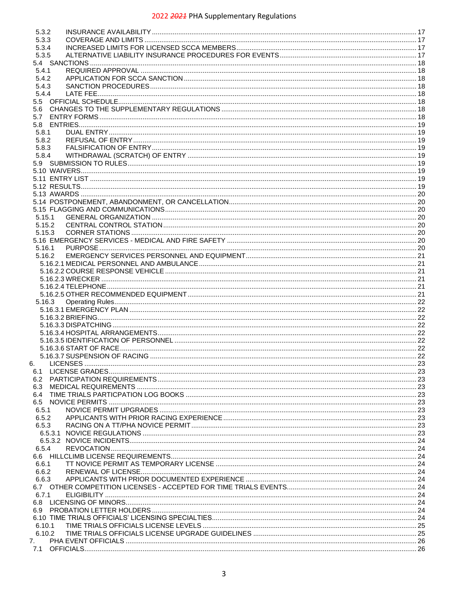| 5.3.2  |  |
|--------|--|
|        |  |
| 5.3.3  |  |
| 5.3.4  |  |
|        |  |
| 5.3.5  |  |
|        |  |
| 5.4.1  |  |
| 5.4.2  |  |
|        |  |
| 5.4.3  |  |
| 5.4.4  |  |
|        |  |
| 5.6    |  |
|        |  |
| 5.7    |  |
|        |  |
| 5.8.1  |  |
| 5.8.2  |  |
|        |  |
| 5.8.3  |  |
| 5.8.4  |  |
|        |  |
|        |  |
|        |  |
|        |  |
|        |  |
|        |  |
|        |  |
|        |  |
|        |  |
| 5.15.1 |  |
| 5.15.2 |  |
| 5.15.3 |  |
|        |  |
|        |  |
| 5.16.1 |  |
| 5.16.2 |  |
|        |  |
|        |  |
|        |  |
|        |  |
|        |  |
|        |  |
|        |  |
|        |  |
| 5.16.3 |  |
|        |  |
|        |  |
|        |  |
|        |  |
|        |  |
|        |  |
|        |  |
|        |  |
| 6.     |  |
| 6.1    |  |
|        |  |
| 6.2    |  |
| 6.3    |  |
| 6.4    |  |
|        |  |
| 6.5.1  |  |
|        |  |
| 6.5.2  |  |
| 6.5.3  |  |
|        |  |
|        |  |
|        |  |
| 6.5.4  |  |
|        |  |
| 6.6.1  |  |
| 6.6.2  |  |
| 6.6.3  |  |
|        |  |
|        |  |
| 6.7.1  |  |
|        |  |
|        |  |
|        |  |
|        |  |
| 6.10.1 |  |
| 6.10.2 |  |
| 7.     |  |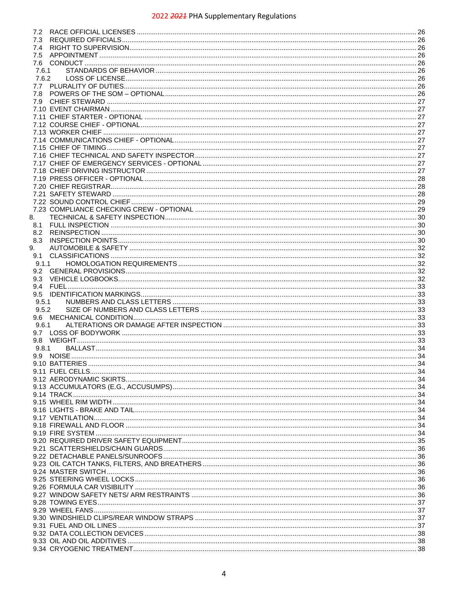| 7.2   |  |
|-------|--|
|       |  |
| 7.3   |  |
| 7.4   |  |
| 7.5   |  |
| 7.6   |  |
| 7.6.1 |  |
|       |  |
| 7.6.2 |  |
| 7.7   |  |
| 7.8   |  |
| 7.9   |  |
|       |  |
|       |  |
|       |  |
|       |  |
|       |  |
|       |  |
|       |  |
|       |  |
|       |  |
|       |  |
|       |  |
|       |  |
|       |  |
|       |  |
|       |  |
|       |  |
|       |  |
| 8.    |  |
| 8.1   |  |
| 8.2   |  |
| 8.3   |  |
| 9.    |  |
|       |  |
| 9.1   |  |
| 9.1.1 |  |
| 9.2   |  |
| 9.3   |  |
|       |  |
|       |  |
| 9.4   |  |
| 9.5   |  |
| 9.5.1 |  |
| 9.5.2 |  |
|       |  |
|       |  |
| 9.6.1 |  |
| 9.7   |  |
| 9.8   |  |
| 9.8.1 |  |
|       |  |
|       |  |
|       |  |
|       |  |
|       |  |
|       |  |
|       |  |
|       |  |
|       |  |
|       |  |
|       |  |
|       |  |
|       |  |
|       |  |
|       |  |
|       |  |
|       |  |
|       |  |
|       |  |
|       |  |
|       |  |
|       |  |
|       |  |
|       |  |
|       |  |
|       |  |
|       |  |
|       |  |
|       |  |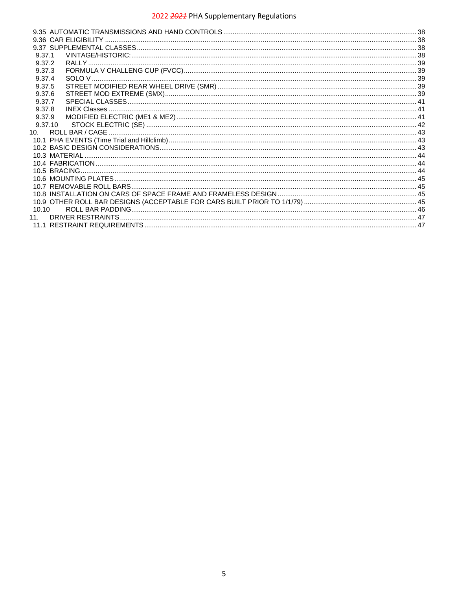| 9.37.1          |  |
|-----------------|--|
| 9.37.2          |  |
| 9.37.3          |  |
| 9.37.4          |  |
| 9.37.5          |  |
| 9.37.6          |  |
| 9.37.7          |  |
| 9.37.8          |  |
| 9.37.9          |  |
| 9.37.10         |  |
| 10 <sub>1</sub> |  |
|                 |  |
|                 |  |
|                 |  |
|                 |  |
|                 |  |
|                 |  |
|                 |  |
|                 |  |
|                 |  |
| 10.10           |  |
| 11              |  |
|                 |  |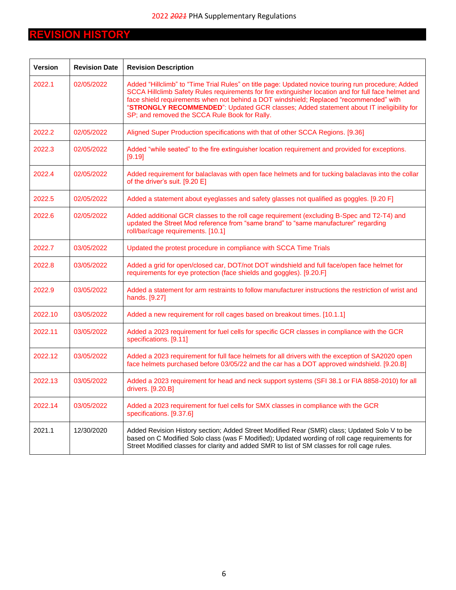## <span id="page-5-0"></span>**REVISION HISTORY**

| <b>Version</b> | <b>Revision Date</b> | <b>Revision Description</b>                                                                                                                                                                                                                                                                                                                                                                                                                      |
|----------------|----------------------|--------------------------------------------------------------------------------------------------------------------------------------------------------------------------------------------------------------------------------------------------------------------------------------------------------------------------------------------------------------------------------------------------------------------------------------------------|
| 2022.1         | 02/05/2022           | Added "Hillclimb" to "Time Trial Rules" on title page: Updated novice touring run procedure; Added<br>SCCA Hillclimb Safety Rules requirements for fire extinguisher location and for full face helmet and<br>face shield requirements when not behind a DOT windshield; Replaced "recommended" with<br>"STRONGLY RECOMMENDED": Updated GCR classes; Added statement about IT ineligibility for<br>SP; and removed the SCCA Rule Book for Rally. |
| 2022.2         | 02/05/2022           | Aligned Super Production specifications with that of other SCCA Regions. [9.36]                                                                                                                                                                                                                                                                                                                                                                  |
| 2022.3         | 02/05/2022           | Added "while seated" to the fire extinguisher location requirement and provided for exceptions.<br>[9.19]                                                                                                                                                                                                                                                                                                                                        |
| 2022.4         | 02/05/2022           | Added requirement for balaclavas with open face helmets and for tucking balaclavas into the collar<br>of the driver's suit. [9.20 E]                                                                                                                                                                                                                                                                                                             |
| 2022.5         | 02/05/2022           | Added a statement about eyeglasses and safety glasses not qualified as goggles. [9.20 F]                                                                                                                                                                                                                                                                                                                                                         |
| 2022.6         | 02/05/2022           | Added additional GCR classes to the roll cage requirement (excluding B-Spec and T2-T4) and<br>updated the Street Mod reference from "same brand" to "same manufacturer" regarding<br>roll/bar/cage requirements. [10.1]                                                                                                                                                                                                                          |
| 2022.7         | 03/05/2022           | Updated the protest procedure in compliance with SCCA Time Trials                                                                                                                                                                                                                                                                                                                                                                                |
| 2022.8         | 03/05/2022           | Added a grid for open/closed car, DOT/not DOT windshield and full face/open face helmet for<br>requirements for eye protection (face shields and goggles). [9.20.F]                                                                                                                                                                                                                                                                              |
| 2022.9         | 03/05/2022           | Added a statement for arm restraints to follow manufacturer instructions the restriction of wrist and<br>hands. [9.27]                                                                                                                                                                                                                                                                                                                           |
| 2022.10        | 03/05/2022           | Added a new requirement for roll cages based on breakout times. [10.1.1]                                                                                                                                                                                                                                                                                                                                                                         |
| 2022.11        | 03/05/2022           | Added a 2023 requirement for fuel cells for specific GCR classes in compliance with the GCR<br>specifications. [9.11]                                                                                                                                                                                                                                                                                                                            |
| 2022.12        | 03/05/2022           | Added a 2023 requirement for full face helmets for all drivers with the exception of SA2020 open<br>face helmets purchased before 03/05/22 and the car has a DOT approved windshield. [9.20.B]                                                                                                                                                                                                                                                   |
| 2022.13        | 03/05/2022           | Added a 2023 requirement for head and neck support systems (SFI 38.1 or FIA 8858-2010) for all<br>drivers. [9.20.B]                                                                                                                                                                                                                                                                                                                              |
| 2022.14        | 03/05/2022           | Added a 2023 requirement for fuel cells for SMX classes in compliance with the GCR<br>specifications. [9.37.6]                                                                                                                                                                                                                                                                                                                                   |
| 2021.1         | 12/30/2020           | Added Revision History section; Added Street Modified Rear (SMR) class; Updated Solo V to be<br>based on C Modified Solo class (was F Modified); Updated wording of roll cage requirements for<br>Street Modified classes for clarity and added SMR to list of SM classes for roll cage rules.                                                                                                                                                   |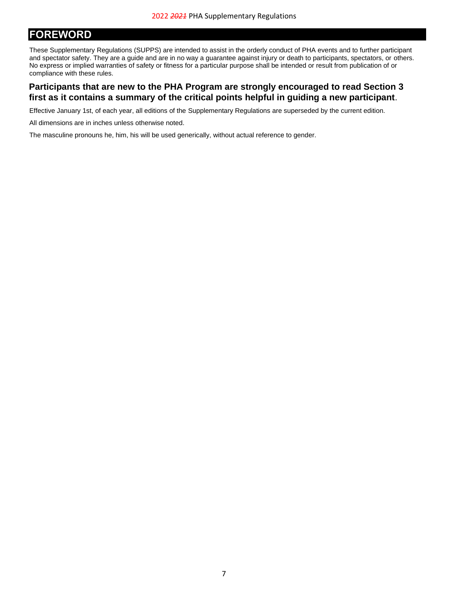## <span id="page-6-0"></span>**FOREWORD**

These Supplementary Regulations (SUPPS) are intended to assist in the orderly conduct of PHA events and to further participant and spectator safety. They are a guide and are in no way a guarantee against injury or death to participants, spectators, or others. No express or implied warranties of safety or fitness for a particular purpose shall be intended or result from publication of or compliance with these rules.

## **Participants that are new to the PHA Program are strongly encouraged to read Section [3](#page-9-0) first as it contains a summary of the critical points helpful in guiding a new participant**.

Effective January 1st, of each year, all editions of the Supplementary Regulations are superseded by the current edition.

All dimensions are in inches unless otherwise noted.

The masculine pronouns he, him, his will be used generically, without actual reference to gender.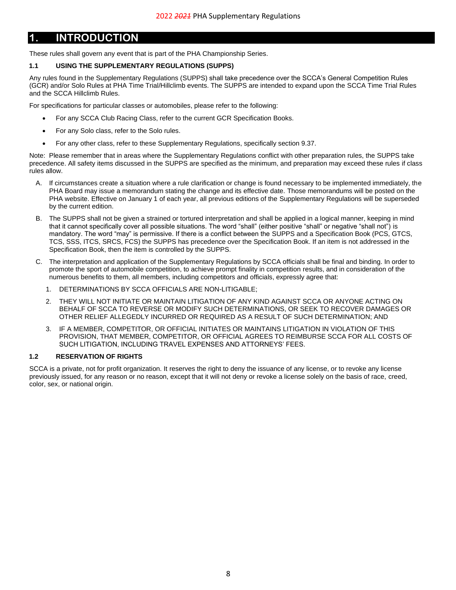## <span id="page-7-0"></span>**1. INTRODUCTION**

These rules shall govern any event that is part of the PHA Championship Series.

## <span id="page-7-1"></span>**1.1 USING THE SUPPLEMENTARY REGULATIONS (SUPPS)**

Any rules found in the Supplementary Regulations (SUPPS) shall take precedence over the SCCA's General Competition Rules (GCR) and/or Solo Rules at PHA Time Trial/Hillclimb events. The SUPPS are intended to expand upon the SCCA Time Trial Rules and the SCCA Hillclimb Rules.

For specifications for particular classes or automobiles, please refer to the following:

- For any SCCA Club Racing Class, refer to the current GCR Specification Books.
- For any Solo class, refer to the Solo rules.
- For any other class, refer to these Supplementary Regulations, specifically section [9.37.](#page-37-4)

Note: Please remember that in areas where the Supplementary Regulations conflict with other preparation rules, the SUPPS take precedence. All safety items discussed in the SUPPS are specified as the minimum, and preparation may exceed these rules if class rules allow.

- A. If circumstances create a situation where a rule clarification or change is found necessary to be implemented immediately, the PHA Board may issue a memorandum stating the change and its effective date. Those memorandums will be posted on the PHA website. Effective on January 1 of each year, all previous editions of the Supplementary Regulations will be superseded by the current edition.
- B. The SUPPS shall not be given a strained or tortured interpretation and shall be applied in a logical manner, keeping in mind that it cannot specifically cover all possible situations. The word "shall" (either positive "shall" or negative "shall not") is mandatory. The word "may" is permissive. If there is a conflict between the SUPPS and a Specification Book (PCS, GTCS, TCS, SSS, ITCS, SRCS, FCS) the SUPPS has precedence over the Specification Book. If an item is not addressed in the Specification Book, then the item is controlled by the SUPPS.
- C. The interpretation and application of the Supplementary Regulations by SCCA officials shall be final and binding. In order to promote the sport of automobile competition, to achieve prompt finality in competition results, and in consideration of the numerous benefits to them, all members, including competitors and officials, expressly agree that:
	- 1. DETERMINATIONS BY SCCA OFFICIALS ARE NON-LITIGABLE;
	- 2. THEY WILL NOT INITIATE OR MAINTAIN LITIGATION OF ANY KIND AGAINST SCCA OR ANYONE ACTING ON BEHALF OF SCCA TO REVERSE OR MODIFY SUCH DETERMINATIONS, OR SEEK TO RECOVER DAMAGES OR OTHER RELIEF ALLEGEDLY INCURRED OR REQUIRED AS A RESULT OF SUCH DETERMINATION; AND
	- 3. IF A MEMBER, COMPETITOR, OR OFFICIAL INITIATES OR MAINTAINS LITIGATION IN VIOLATION OF THIS PROVISION, THAT MEMBER, COMPETITOR, OR OFFICIAL AGREES TO REIMBURSE SCCA FOR ALL COSTS OF SUCH LITIGATION, INCLUDING TRAVEL EXPENSES AND ATTORNEYS' FEES.

## <span id="page-7-2"></span>**1.2 RESERVATION OF RIGHTS**

SCCA is a private, not for profit organization. It reserves the right to deny the issuance of any license, or to revoke any license previously issued, for any reason or no reason, except that it will not deny or revoke a license solely on the basis of race, creed, color, sex, or national origin.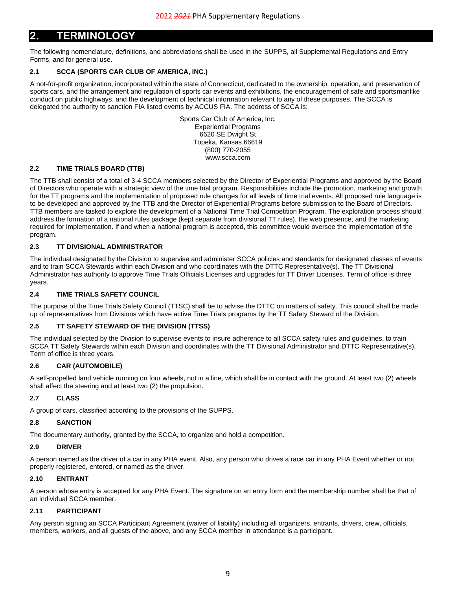## <span id="page-8-0"></span>**2. TERMINOLOGY**

The following nomenclature, definitions, and abbreviations shall be used in the SUPPS, all Supplemental Regulations and Entry Forms, and for general use.

## <span id="page-8-1"></span>**2.1 SCCA (SPORTS CAR CLUB OF AMERICA, INC.)**

A not-for-profit organization, incorporated within the state of Connecticut, dedicated to the ownership, operation, and preservation of sports cars, and the arrangement and regulation of sports car events and exhibitions, the encouragement of safe and sportsmanlike conduct on public highways, and the development of technical information relevant to any of these purposes. The SCCA is delegated the authority to sanction FIA listed events by ACCUS FIA. The address of SCCA is:

> Sports Car Club of America, Inc. Experiential Programs 6620 SE Dwight St Topeka, Kansas 66619 (800) 770-2055 www.scca.com

#### <span id="page-8-2"></span>**2.2 TIME TRIALS BOARD (TTB)**

The TTB shall consist of a total of 3-4 SCCA members selected by the Director of Experiential Programs and approved by the Board of Directors who operate with a strategic view of the time trial program. Responsibilities include the promotion, marketing and growth for the TT programs and the implementation of proposed rule changes for all levels of time trial events. All proposed rule language is to be developed and approved by the TTB and the Director of Experiential Programs before submission to the Board of Directors. TTB members are tasked to explore the development of a National Time Trial Competition Program. The exploration process should address the formation of a national rules package (kept separate from divisional TT rules), the web presence, and the marketing required for implementation. If and when a national program is accepted, this committee would oversee the implementation of the program.

## <span id="page-8-3"></span>**2.3 TT DIVISIONAL ADMINISTRATOR**

The individual designated by the Division to supervise and administer SCCA policies and standards for designated classes of events and to train SCCA Stewards within each Division and who coordinates with the DTTC Representative(s). The TT Divisional Administrator has authority to approve Time Trials Officials Licenses and upgrades for TT Driver Licenses. Term of office is three years.

## <span id="page-8-4"></span>**2.4 TIME TRIALS SAFETY COUNCIL**

The purpose of the Time Trials Safety Council (TTSC) shall be to advise the DTTC on matters of safety. This council shall be made up of representatives from Divisions which have active Time Trials programs by the TT Safety Steward of the Division.

## <span id="page-8-5"></span>**2.5 TT SAFETY STEWARD OF THE DIVISION (TTSS)**

The individual selected by the Division to supervise events to insure adherence to all SCCA safety rules and guidelines, to train SCCA TT Safety Stewards within each Division and coordinates with the TT Divisional Administrator and DTTC Representative(s). Term of office is three years.

## <span id="page-8-6"></span>**2.6 CAR (AUTOMOBILE)**

A self-propelled land vehicle running on four wheels, not in a line, which shall be in contact with the ground. At least two (2) wheels shall affect the steering and at least two (2) the propulsion.

## <span id="page-8-7"></span>**2.7 CLASS**

A group of cars, classified according to the provisions of the SUPPS.

#### <span id="page-8-8"></span>**2.8 SANCTION**

The documentary authority, granted by the SCCA, to organize and hold a competition.

#### <span id="page-8-9"></span>**2.9 DRIVER**

A person named as the driver of a car in any PHA event. Also, any person who drives a race car in any PHA Event whether or not properly registered, entered, or named as the driver.

## <span id="page-8-10"></span>**2.10 ENTRANT**

A person whose entry is accepted for any PHA Event. The signature on an entry form and the membership number shall be that of an individual SCCA member.

## <span id="page-8-11"></span>**2.11 PARTICIPANT**

Any person signing an SCCA Participant Agreement (waiver of liability) including all organizers, entrants, drivers, crew, officials, members, workers, and all guests of the above, and any SCCA member in attendance is a participant.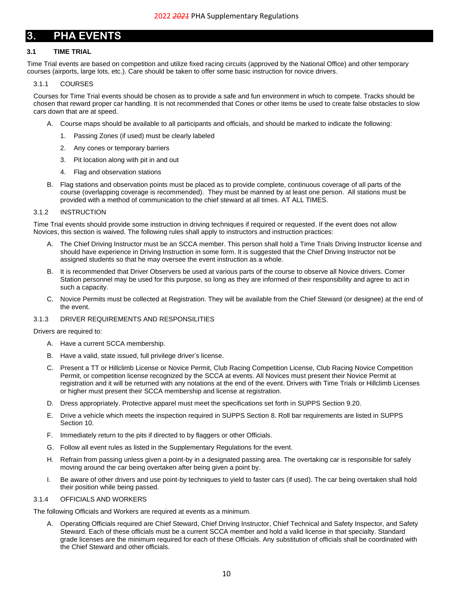## <span id="page-9-0"></span>**3. PHA EVENTS**

## <span id="page-9-1"></span>**3.1 TIME TRIAL**

Time Trial events are based on competition and utilize fixed racing circuits (approved by the National Office) and other temporary courses (airports, large lots, etc.). Care should be taken to offer some basic instruction for novice drivers.

#### <span id="page-9-2"></span>3.1.1 COURSES

Courses for Time Trial events should be chosen as to provide a safe and fun environment in which to compete. Tracks should be chosen that reward proper car handling. It is not recommended that Cones or other items be used to create false obstacles to slow cars down that are at speed.

- A. Course maps should be available to all participants and officials, and should be marked to indicate the following:
	- 1. Passing Zones (if used) must be clearly labeled
	- 2. Any cones or temporary barriers
	- 3. Pit location along with pit in and out
	- 4. Flag and observation stations
- B. Flag stations and observation points must be placed as to provide complete, continuous coverage of all parts of the course (overlapping coverage is recommended). They must be manned by at least one person. All stations must be provided with a method of communication to the chief steward at all times. AT ALL TIMES.

#### <span id="page-9-3"></span>3.1.2 INSTRUCTION

Time Trial events should provide some instruction in driving techniques if required or requested. If the event does not allow Novices, this section is waived. The following rules shall apply to instructors and instruction practices:

- A. The Chief Driving Instructor must be an SCCA member. This person shall hold a Time Trials Driving Instructor license and should have experience in Driving Instruction in some form. It is suggested that the Chief Driving Instructor not be assigned students so that he may oversee the event instruction as a whole.
- B. It is recommended that Driver Observers be used at various parts of the course to observe all Novice drivers. Corner Station personnel may be used for this purpose, so long as they are informed of their responsibility and agree to act in such a capacity.
- C. Novice Permits must be collected at Registration. They will be available from the Chief Steward (or designee) at the end of the event.

#### <span id="page-9-4"></span>3.1.3 DRIVER REQUIREMENTS AND RESPONSILITIES

#### Drivers are required to:

- A. Have a current SCCA membership.
- B. Have a valid, state issued, full privilege driver's license.
- C. Present a TT or Hillclimb License or Novice Permit, Club Racing Competition License, Club Racing Novice Competition Permit, or competition license recognized by the SCCA at events. All Novices must present their Novice Permit at registration and it will be returned with any notations at the end of the event. Drivers with Time Trials or Hillclimb Licenses or higher must present their SCCA membership and license at registration.
- D. Dress appropriately. Protective apparel must meet the specifications set forth in SUPPS Section [9.20.](#page-34-0)
- E. Drive a vehicle which meets the inspection required in SUPPS Sectio[n 8.](#page-29-0) Roll bar requirements are listed in SUPPS Sectio[n 10.](#page-42-0)
- F. Immediately return to the pits if directed to by flaggers or other Officials.
- G. Follow all event rules as listed in the Supplementary Regulations for the event.
- H. Refrain from passing unless given a point-by in a designated passing area. The overtaking car is responsible for safely moving around the car being overtaken after being given a point by.
- I. Be aware of other drivers and use point-by techniques to yield to faster cars (if used). The car being overtaken shall hold their position while being passed.

#### <span id="page-9-5"></span>3.1.4 OFFICIALS AND WORKERS

The following Officials and Workers are required at events as a minimum.

A. Operating Officials required are Chief Steward, Chief Driving Instructor, Chief Technical and Safety Inspector, and Safety Steward. Each of these officials must be a current SCCA member and hold a valid license in that specialty. Standard grade licenses are the minimum required for each of these Officials. Any substitution of officials shall be coordinated with the Chief Steward and other officials.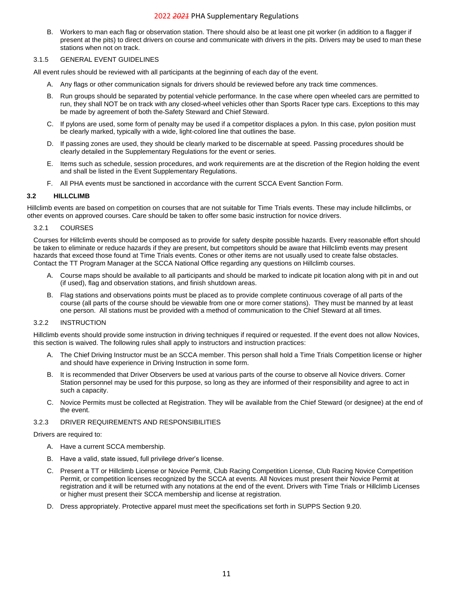B. Workers to man each flag or observation station. There should also be at least one pit worker (in addition to a flagger if present at the pits) to direct drivers on course and communicate with drivers in the pits. Drivers may be used to man these stations when not on track.

#### <span id="page-10-0"></span>3.1.5 GENERAL EVENT GUIDELINES

All event rules should be reviewed with all participants at the beginning of each day of the event.

- A. Any flags or other communication signals for drivers should be reviewed before any track time commences.
- B. Run groups should be separated by potential vehicle performance. In the case where open wheeled cars are permitted to run, they shall NOT be on track with any closed-wheel vehicles other than Sports Racer type cars. Exceptions to this may be made by agreement of both the Safety Steward and Chief Steward.
- C. If pylons are used, some form of penalty may be used if a competitor displaces a pylon. In this case, pylon position must be clearly marked, typically with a wide, light-colored line that outlines the base.
- D. If passing zones are used, they should be clearly marked to be discernable at speed. Passing procedures should be clearly detailed in the Supplementary Regulations for the event or series.
- E. Items such as schedule, session procedures, and work requirements are at the discretion of the Region holding the event and shall be listed in the Event Supplementary Regulations.
- F. All PHA events must be sanctioned in accordance with the current SCCA Event Sanction Form.

#### <span id="page-10-1"></span>**3.2 HILLCLIMB**

Hillclimb events are based on competition on courses that are not suitable for Time Trials events. These may include hillclimbs, or other events on approved courses. Care should be taken to offer some basic instruction for novice drivers.

#### <span id="page-10-2"></span>3.2.1 COURSES

Courses for Hillclimb events should be composed as to provide for safety despite possible hazards. Every reasonable effort should be taken to eliminate or reduce hazards if they are present, but competitors should be aware that Hillclimb events may present hazards that exceed those found at Time Trials events. Cones or other items are not usually used to create false obstacles. Contact the TT Program Manager at the SCCA National Office regarding any questions on Hillclimb courses.

- A. Course maps should be available to all participants and should be marked to indicate pit location along with pit in and out (if used), flag and observation stations, and finish shutdown areas.
- B. Flag stations and observations points must be placed as to provide complete continuous coverage of all parts of the course (all parts of the course should be viewable from one or more corner stations). They must be manned by at least one person. All stations must be provided with a method of communication to the Chief Steward at all times.

## <span id="page-10-3"></span>3.2.2 INSTRUCTION

Hillclimb events should provide some instruction in driving techniques if required or requested. If the event does not allow Novices, this section is waived. The following rules shall apply to instructors and instruction practices:

- A. The Chief Driving Instructor must be an SCCA member. This person shall hold a Time Trials Competition license or higher and should have experience in Driving Instruction in some form.
- B. It is recommended that Driver Observers be used at various parts of the course to observe all Novice drivers. Corner Station personnel may be used for this purpose, so long as they are informed of their responsibility and agree to act in such a capacity.
- C. Novice Permits must be collected at Registration. They will be available from the Chief Steward (or designee) at the end of the event.

### <span id="page-10-4"></span>3.2.3 DRIVER REQUIREMENTS AND RESPONSIBILITIES

Drivers are required to:

- A. Have a current SCCA membership.
- B. Have a valid, state issued, full privilege driver's license.
- C. Present a TT or Hillclimb License or Novice Permit, Club Racing Competition License, Club Racing Novice Competition Permit, or competition licenses recognized by the SCCA at events. All Novices must present their Novice Permit at registration and it will be returned with any notations at the end of the event. Drivers with Time Trials or Hillclimb Licenses or higher must present their SCCA membership and license at registration.
- D. Dress appropriately. Protective apparel must meet the specifications set forth in SUPPS Section [9.20.](#page-34-0)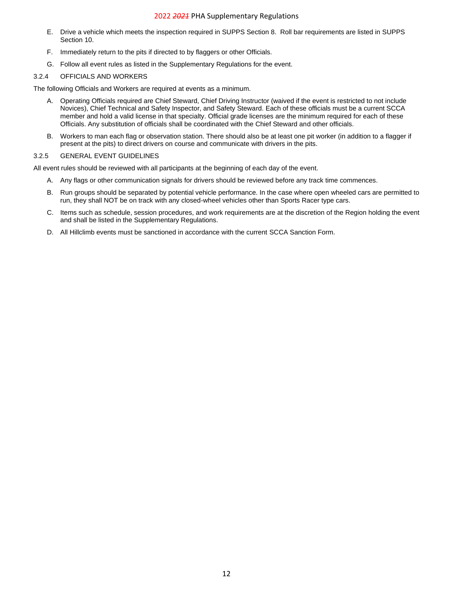- E. Drive a vehicle which meets the inspection required in SUPPS Section [8.](#page-29-0) Roll bar requirements are listed in SUPPS Section [10.](#page-42-0)
- F. Immediately return to the pits if directed to by flaggers or other Officials.
- G. Follow all event rules as listed in the Supplementary Regulations for the event.

## <span id="page-11-0"></span>3.2.4 OFFICIALS AND WORKERS

The following Officials and Workers are required at events as a minimum.

- A. Operating Officials required are Chief Steward, Chief Driving Instructor (waived if the event is restricted to not include Novices), Chief Technical and Safety Inspector, and Safety Steward. Each of these officials must be a current SCCA member and hold a valid license in that specialty. Official grade licenses are the minimum required for each of these Officials. Any substitution of officials shall be coordinated with the Chief Steward and other officials.
- B. Workers to man each flag or observation station. There should also be at least one pit worker (in addition to a flagger if present at the pits) to direct drivers on course and communicate with drivers in the pits.

#### <span id="page-11-1"></span>3.2.5 GENERAL EVENT GUIDELINES

All event rules should be reviewed with all participants at the beginning of each day of the event.

- A. Any flags or other communication signals for drivers should be reviewed before any track time commences.
- B. Run groups should be separated by potential vehicle performance. In the case where open wheeled cars are permitted to run, they shall NOT be on track with any closed-wheel vehicles other than Sports Racer type cars.
- C. Items such as schedule, session procedures, and work requirements are at the discretion of the Region holding the event and shall be listed in the Supplementary Regulations.
- D. All Hillclimb events must be sanctioned in accordance with the current SCCA Sanction Form.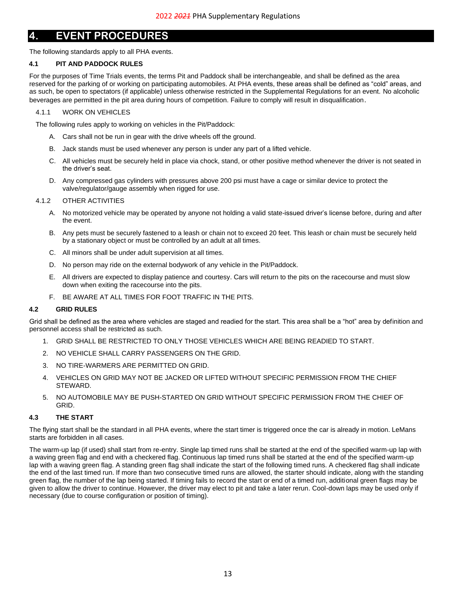## <span id="page-12-0"></span>**4. EVENT PROCEDURES**

The following standards apply to all PHA events.

## <span id="page-12-1"></span>**4.1 PIT AND PADDOCK RULES**

For the purposes of Time Trials events, the terms Pit and Paddock shall be interchangeable, and shall be defined as the area reserved for the parking of or working on participating automobiles. At PHA events, these areas shall be defined as "cold" areas, and as such, be open to spectators (if applicable) unless otherwise restricted in the Supplemental Regulations for an event. No alcoholic beverages are permitted in the pit area during hours of competition. Failure to comply will result in disqualification.

## <span id="page-12-2"></span>4.1.1 WORK ON VEHICLES

The following rules apply to working on vehicles in the Pit/Paddock:

- A. Cars shall not be run in gear with the drive wheels off the ground.
- B. Jack stands must be used whenever any person is under any part of a lifted vehicle.
- C. All vehicles must be securely held in place via chock, stand, or other positive method whenever the driver is not seated in the driver's seat.
- D. Any compressed gas cylinders with pressures above 200 psi must have a cage or similar device to protect the valve/regulator/gauge assembly when rigged for use.

## <span id="page-12-3"></span>4.1.2 OTHER ACTIVITIES

- A. No motorized vehicle may be operated by anyone not holding a valid state-issued driver's license before, during and after the event.
- B. Any pets must be securely fastened to a leash or chain not to exceed 20 feet. This leash or chain must be securely held by a stationary object or must be controlled by an adult at all times.
- C. All minors shall be under adult supervision at all times.
- D. No person may ride on the external bodywork of any vehicle in the Pit/Paddock.
- E. All drivers are expected to display patience and courtesy. Cars will return to the pits on the racecourse and must slow down when exiting the racecourse into the pits.
- F. BE AWARE AT ALL TIMES FOR FOOT TRAFFIC IN THE PITS.

## <span id="page-12-4"></span>**4.2 GRID RULES**

Grid shall be defined as the area where vehicles are staged and readied for the start. This area shall be a "hot" area by definition and personnel access shall be restricted as such.

- 1. GRID SHALL BE RESTRICTED TO ONLY THOSE VEHICLES WHICH ARE BEING READIED TO START.
- 2. NO VEHICLE SHALL CARRY PASSENGERS ON THE GRID.
- 3. NO TIRE-WARMERS ARE PERMITTED ON GRID.
- 4. VEHICLES ON GRID MAY NOT BE JACKED OR LIFTED WITHOUT SPECIFIC PERMISSION FROM THE CHIEF STEWARD.
- 5. NO AUTOMOBILE MAY BE PUSH-STARTED ON GRID WITHOUT SPECIFIC PERMISSION FROM THE CHIEF OF GRID.

## <span id="page-12-5"></span>**4.3 THE START**

The flying start shall be the standard in all PHA events, where the start timer is triggered once the car is already in motion. LeMans starts are forbidden in all cases.

The warm-up lap (if used) shall start from re-entry. Single lap timed runs shall be started at the end of the specified warm-up lap with a waving green flag and end with a checkered flag. Continuous lap timed runs shall be started at the end of the specified warm-up lap with a waving green flag. A standing green flag shall indicate the start of the following timed runs. A checkered flag shall indicate the end of the last timed run. If more than two consecutive timed runs are allowed, the starter should indicate, along with the standing green flag, the number of the lap being started. If timing fails to record the start or end of a timed run, additional green flags may be given to allow the driver to continue. However, the driver may elect to pit and take a later rerun. Cool-down laps may be used only if necessary (due to course configuration or position of timing).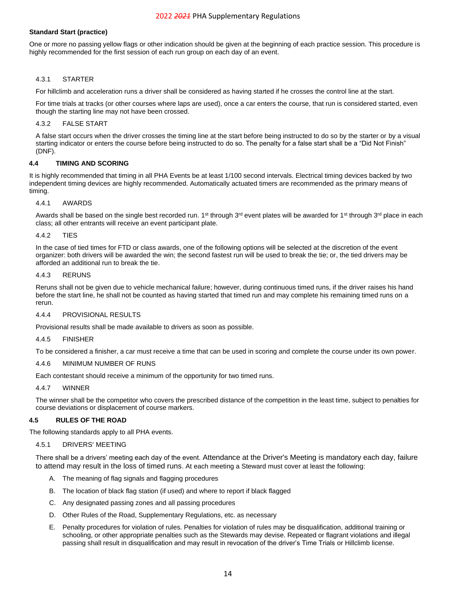#### **Standard Start (practice)**

One or more no passing yellow flags or other indication should be given at the beginning of each practice session. This procedure is highly recommended for the first session of each run group on each day of an event.

#### <span id="page-13-0"></span>4.3.1 STARTER

For hillclimb and acceleration runs a driver shall be considered as having started if he crosses the control line at the start.

For time trials at tracks (or other courses where laps are used), once a car enters the course, that run is considered started, even though the starting line may not have been crossed.

#### <span id="page-13-1"></span>4.3.2 FALSE START

A false start occurs when the driver crosses the timing line at the start before being instructed to do so by the starter or by a visual starting indicator or enters the course before being instructed to do so. The penalty for a false start shall be a "Did Not Finish" (DNF).

#### <span id="page-13-2"></span>**4.4 TIMING AND SCORING**

It is highly recommended that timing in all PHA Events be at least 1/100 second intervals. Electrical timing devices backed by two independent timing devices are highly recommended. Automatically actuated timers are recommended as the primary means of timing.

#### <span id="page-13-3"></span>4.4.1 AWARDS

Awards shall be based on the single best recorded run. 1<sup>st</sup> through 3<sup>rd</sup> event plates will be awarded for 1<sup>st</sup> through 3<sup>rd</sup> place in each class; all other entrants will receive an event participant plate.

#### <span id="page-13-4"></span>4.4.2 TIES

In the case of tied times for FTD or class awards, one of the following options will be selected at the discretion of the event organizer: both drivers will be awarded the win; the second fastest run will be used to break the tie; or, the tied drivers may be afforded an additional run to break the tie.

#### <span id="page-13-5"></span>4.4.3 RERUNS

Reruns shall not be given due to vehicle mechanical failure; however, during continuous timed runs, if the driver raises his hand before the start line, he shall not be counted as having started that timed run and may complete his remaining timed runs on a rerun.

#### <span id="page-13-6"></span>4.4.4 PROVISIONAL RESULTS

Provisional results shall be made available to drivers as soon as possible.

#### <span id="page-13-7"></span>4.4.5 FINISHER

To be considered a finisher, a car must receive a time that can be used in scoring and complete the course under its own power.

#### <span id="page-13-8"></span>4.4.6 MINIMUM NUMBER OF RUNS

Each contestant should receive a minimum of the opportunity for two timed runs.

#### <span id="page-13-9"></span>4.4.7 WINNER

The winner shall be the competitor who covers the prescribed distance of the competition in the least time, subject to penalties for course deviations or displacement of course markers.

#### <span id="page-13-10"></span>**4.5 RULES OF THE ROAD**

<span id="page-13-11"></span>The following standards apply to all PHA events.

#### 4.5.1 DRIVERS' MEETING

There shall be a drivers' meeting each day of the event. Attendance at the Driver's Meeting is mandatory each day, failure to attend may result in the loss of timed runs. At each meeting a Steward must cover at least the following:

- A. The meaning of flag signals and flagging procedures
- B. The location of black flag station (if used) and where to report if black flagged
- C. Any designated passing zones and all passing procedures
- D. Other Rules of the Road, Supplementary Regulations, etc. as necessary
- E. Penalty procedures for violation of rules. Penalties for violation of rules may be disqualification, additional training or schooling, or other appropriate penalties such as the Stewards may devise. Repeated or flagrant violations and illegal passing shall result in disqualification and may result in revocation of the driver's Time Trials or Hillclimb license.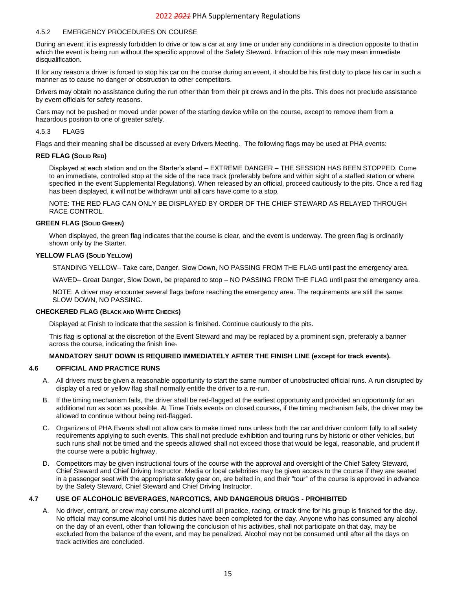#### <span id="page-14-0"></span>4.5.2 EMERGENCY PROCEDURES ON COURSE

During an event, it is expressly forbidden to drive or tow a car at any time or under any conditions in a direction opposite to that in which the event is being run without the specific approval of the Safety Steward. Infraction of this rule may mean immediate disqualification.

If for any reason a driver is forced to stop his car on the course during an event, it should be his first duty to place his car in such a manner as to cause no danger or obstruction to other competitors.

Drivers may obtain no assistance during the run other than from their pit crews and in the pits. This does not preclude assistance by event officials for safety reasons.

Cars may not be pushed or moved under power of the starting device while on the course, except to remove them from a hazardous position to one of greater safety.

#### <span id="page-14-1"></span>4.5.3 FLAGS

Flags and their meaning shall be discussed at every Drivers Meeting. The following flags may be used at PHA events:

#### **RED FLAG (SOLID RED)**

Displayed at each station and on the Starter's stand – EXTREME DANGER – THE SESSION HAS BEEN STOPPED. Come to an immediate, controlled stop at the side of the race track (preferably before and within sight of a staffed station or where specified in the event Supplemental Regulations). When released by an official, proceed cautiously to the pits. Once a red flag has been displayed, it will not be withdrawn until all cars have come to a stop.

NOTE: THE RED FLAG CAN ONLY BE DISPLAYED BY ORDER OF THE CHIEF STEWARD AS RELAYED THROUGH RACE CONTROL.

#### **GREEN FLAG (SOLID GREEN)**

When displayed, the green flag indicates that the course is clear, and the event is underway. The green flag is ordinarily shown only by the Starter.

#### **YELLOW FLAG (SOLID YELLOW)**

STANDING YELLOW– Take care, Danger, Slow Down, NO PASSING FROM THE FLAG until past the emergency area.

WAVED– Great Danger, Slow Down, be prepared to stop – NO PASSING FROM THE FLAG until past the emergency area.

NOTE: A driver may encounter several flags before reaching the emergency area. The requirements are still the same: SLOW DOWN, NO PASSING.

#### **CHECKERED FLAG (BLACK AND WHITE CHECKS)**

Displayed at Finish to indicate that the session is finished. Continue cautiously to the pits.

This flag is optional at the discretion of the Event Steward and may be replaced by a prominent sign, preferably a banner across the course, indicating the finish line.

#### **MANDATORY SHUT DOWN IS REQUIRED IMMEDIATELY AFTER THE FINISH LINE (except for track events).**

#### <span id="page-14-2"></span>**4.6 OFFICIAL AND PRACTICE RUNS**

- A. All drivers must be given a reasonable opportunity to start the same number of unobstructed official runs. A run disrupted by display of a red or yellow flag shall normally entitle the driver to a re-run.
- B. If the timing mechanism fails, the driver shall be red-flagged at the earliest opportunity and provided an opportunity for an additional run as soon as possible. At Time Trials events on closed courses, if the timing mechanism fails, the driver may be allowed to continue without being red-flagged.
- C. Organizers of PHA Events shall not allow cars to make timed runs unless both the car and driver conform fully to all safety requirements applying to such events. This shall not preclude exhibition and touring runs by historic or other vehicles, but such runs shall not be timed and the speeds allowed shall not exceed those that would be legal, reasonable, and prudent if the course were a public highway.
- D. Competitors may be given instructional tours of the course with the approval and oversight of the Chief Safety Steward, Chief Steward and Chief Driving Instructor. Media or local celebrities may be given access to the course if they are seated in a passenger seat with the appropriate safety gear on, are belted in, and their "tour" of the course is approved in advance by the Safety Steward, Chief Steward and Chief Driving Instructor.

#### <span id="page-14-3"></span>**4.7 USE OF ALCOHOLIC BEVERAGES, NARCOTICS, AND DANGEROUS DRUGS - PROHIBITED**

A. No driver, entrant, or crew may consume alcohol until all practice, racing, or track time for his group is finished for the day. No official may consume alcohol until his duties have been completed for the day. Anyone who has consumed any alcohol on the day of an event, other than following the conclusion of his activities, shall not participate on that day, may be excluded from the balance of the event, and may be penalized. Alcohol may not be consumed until after all the days on track activities are concluded.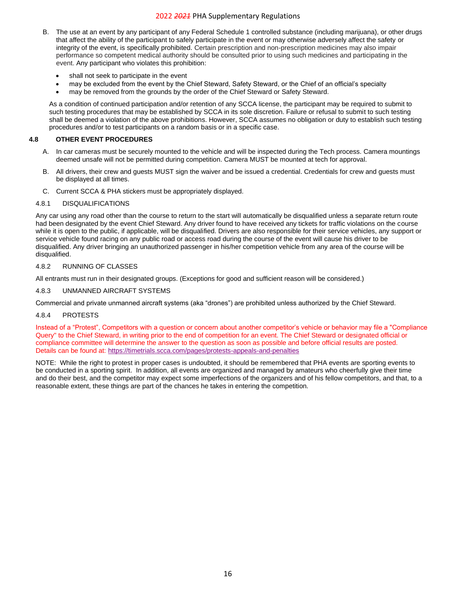- B. The use at an event by any participant of any Federal Schedule 1 controlled substance (including marijuana), or other drugs that affect the ability of the participant to safely participate in the event or may otherwise adversely affect the safety or integrity of the event, is specifically prohibited. Certain prescription and non-prescription medicines may also impair performance so competent medical authority should be consulted prior to using such medicines and participating in the event. Any participant who violates this prohibition:
	- shall not seek to participate in the event
	- may be excluded from the event by the Chief Steward, Safety Steward, or the Chief of an official's specialty
	- may be removed from the grounds by the order of the Chief Steward or Safety Steward.

As a condition of continued participation and/or retention of any SCCA license, the participant may be required to submit to such testing procedures that may be established by SCCA in its sole discretion. Failure or refusal to submit to such testing shall be deemed a violation of the above prohibitions. However, SCCA assumes no obligation or duty to establish such testing procedures and/or to test participants on a random basis or in a specific case.

## <span id="page-15-0"></span>**4.8 OTHER EVENT PROCEDURES**

- A. In car cameras must be securely mounted to the vehicle and will be inspected during the Tech process. Camera mountings deemed unsafe will not be permitted during competition. Camera MUST be mounted at tech for approval.
- B. All drivers, their crew and guests MUST sign the waiver and be issued a credential. Credentials for crew and guests must be displayed at all times.
- C. Current SCCA & PHA stickers must be appropriately displayed.

#### <span id="page-15-1"></span>4.8.1 DISQUALIFICATIONS

Any car using any road other than the course to return to the start will automatically be disqualified unless a separate return route had been designated by the event Chief Steward. Any driver found to have received any tickets for traffic violations on the course while it is open to the public, if applicable, will be disqualified. Drivers are also responsible for their service vehicles, any support or service vehicle found racing on any public road or access road during the course of the event will cause his driver to be disqualified. Any driver bringing an unauthorized passenger in his/her competition vehicle from any area of the course will be disqualified.

#### <span id="page-15-2"></span>4.8.2 RUNNING OF CLASSES

All entrants must run in their designated groups. (Exceptions for good and sufficient reason will be considered.)

#### <span id="page-15-3"></span>4.8.3 UNMANNED AIRCRAFT SYSTEMS

Commercial and private unmanned aircraft systems (aka "drones") are prohibited unless authorized by the Chief Steward.

## <span id="page-15-4"></span>4.8.4 PROTESTS

Instead of a "Protest", Competitors with a question or concern about another competitor's vehicle or behavior may file a "Compliance Query" to the Chief Steward, in writing prior to the end of competition for an event. The Chief Steward or designated official or compliance committee will determine the answer to the question as soon as possible and before official results are posted. Details can be found at:<https://timetrials.scca.com/pages/protests-appeals-and-penalties>

NOTE: While the right to protest in proper cases is undoubted, it should be remembered that PHA events are sporting events to be conducted in a sporting spirit. In addition, all events are organized and managed by amateurs who cheerfully give their time and do their best, and the competitor may expect some imperfections of the organizers and of his fellow competitors, and that, to a reasonable extent, these things are part of the chances he takes in entering the competition.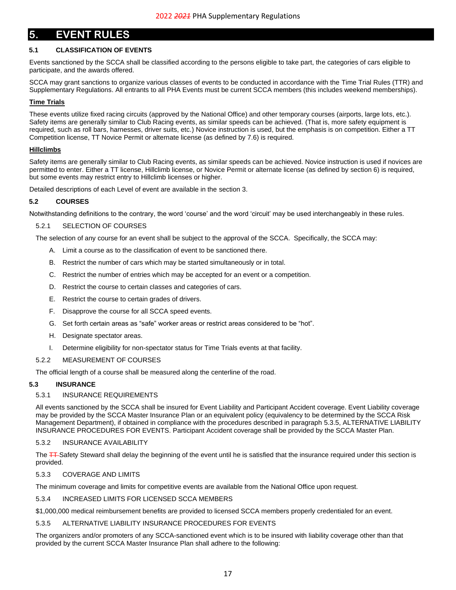## <span id="page-16-0"></span>**5. EVENT RULES**

## <span id="page-16-1"></span>**5.1 CLASSIFICATION OF EVENTS**

Events sanctioned by the SCCA shall be classified according to the persons eligible to take part, the categories of cars eligible to participate, and the awards offered.

SCCA may grant sanctions to organize various classes of events to be conducted in accordance with the Time Trial Rules (TTR) and Supplementary Regulations. All entrants to all PHA Events must be current SCCA members (this includes weekend memberships).

#### **Time Trials**

These events utilize fixed racing circuits (approved by the National Office) and other temporary courses (airports, large lots, etc.). Safety items are generally similar to Club Racing events, as similar speeds can be achieved. (That is, more safety equipment is required, such as roll bars, harnesses, driver suits, etc.) Novice instruction is used, but the emphasis is on competition. Either a TT Competition license, TT Novice Permit or alternate license (as defined by 7.6) is required.

#### **Hillclimbs**

Safety items are generally similar to Club Racing events, as similar speeds can be achieved. Novice instruction is used if novices are permitted to enter. Either a TT license, Hillclimb license, or Novice Permit or alternate license (as defined by sectio[n 6\)](#page-22-0) is required, but some events may restrict entry to Hillclimb licenses or higher.

Detailed descriptions of each Level of event are available in the section [3.](#page-9-0)

#### <span id="page-16-2"></span>**5.2 COURSES**

Notwithstanding definitions to the contrary, the word 'course' and the word 'circuit' may be used interchangeably in these rules.

#### <span id="page-16-3"></span>5.2.1 SELECTION OF COURSES

The selection of any course for an event shall be subject to the approval of the SCCA. Specifically, the SCCA may:

- A. Limit a course as to the classification of event to be sanctioned there.
- B. Restrict the number of cars which may be started simultaneously or in total.
- C. Restrict the number of entries which may be accepted for an event or a competition.
- D. Restrict the course to certain classes and categories of cars.
- E. Restrict the course to certain grades of drivers.
- F. Disapprove the course for all SCCA speed events.
- G. Set forth certain areas as "safe" worker areas or restrict areas considered to be "hot".
- H. Designate spectator areas.
- I. Determine eligibility for non-spectator status for Time Trials events at that facility.

#### <span id="page-16-4"></span>5.2.2 MEASUREMENT OF COURSES

The official length of a course shall be measured along the centerline of the road.

#### <span id="page-16-6"></span><span id="page-16-5"></span>**5.3 INSURANCE**

#### 5.3.1 INSURANCE REQUIREMENTS

All events sanctioned by the SCCA shall be insured for Event Liability and Participant Accident coverage. Event Liability coverage may be provided by the SCCA Master Insurance Plan or an equivalent policy (equivalency to be determined by the SCCA Risk Management Department), if obtained in compliance with the procedures described in paragraph [5.3.5, ALTERNATIVE LIABILITY](#page-16-10)  [INSURANCE PROCEDURES FOR EVENTS.](#page-16-10) Participant Accident coverage shall be provided by the SCCA Master Plan.

## <span id="page-16-7"></span>5.3.2 INSURANCE AVAILABILITY

The **TT**-Safety Steward shall delay the beginning of the event until he is satisfied that the insurance required under this section is provided.

#### <span id="page-16-8"></span>5.3.3 COVERAGE AND LIMITS

The minimum coverage and limits for competitive events are available from the National Office upon request.

#### <span id="page-16-9"></span>5.3.4 INCREASED LIMITS FOR LICENSED SCCA MEMBERS

\$1,000,000 medical reimbursement benefits are provided to licensed SCCA members properly credentialed for an event.

#### <span id="page-16-10"></span>5.3.5 ALTERNATIVE LIABILITY INSURANCE PROCEDURES FOR EVENTS

The organizers and/or promoters of any SCCA-sanctioned event which is to be insured with liability coverage other than that provided by the current SCCA Master Insurance Plan shall adhere to the following: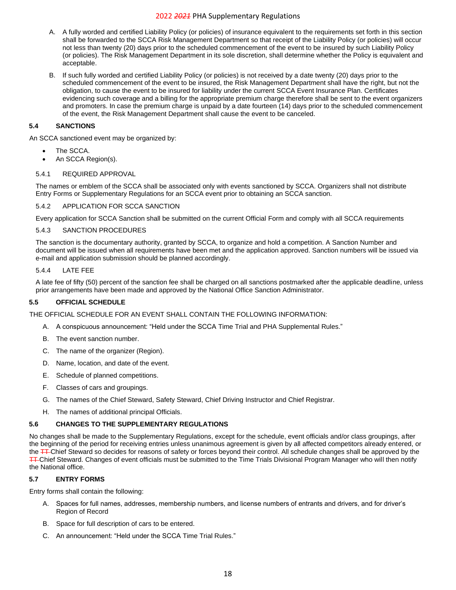- A. A fully worded and certified Liability Policy (or policies) of insurance equivalent to the requirements set forth in this section shall be forwarded to the SCCA Risk Management Department so that receipt of the Liability Policy (or policies) will occur not less than twenty (20) days prior to the scheduled commencement of the event to be insured by such Liability Policy (or policies). The Risk Management Department in its sole discretion, shall determine whether the Policy is equivalent and acceptable.
- B. If such fully worded and certified Liability Policy (or policies) is not received by a date twenty (20) days prior to the scheduled commencement of the event to be insured, the Risk Management Department shall have the right, but not the obligation, to cause the event to be insured for liability under the current SCCA Event Insurance Plan. Certificates evidencing such coverage and a billing for the appropriate premium charge therefore shall be sent to the event organizers and promoters. In case the premium charge is unpaid by a date fourteen (14) days prior to the scheduled commencement of the event, the Risk Management Department shall cause the event to be canceled.

## <span id="page-17-0"></span>**5.4 SANCTIONS**

An SCCA sanctioned event may be organized by:

- The SCCA.
- An SCCA Region(s).

#### <span id="page-17-1"></span>5.4.1 REQUIRED APPROVAL

The names or emblem of the SCCA shall be associated only with events sanctioned by SCCA. Organizers shall not distribute Entry Forms or Supplementary Regulations for an SCCA event prior to obtaining an SCCA sanction.

#### <span id="page-17-2"></span>5.4.2 APPLICATION FOR SCCA SANCTION

Every application for SCCA Sanction shall be submitted on the current Official Form and comply with all SCCA requirements

#### <span id="page-17-3"></span>5.4.3 SANCTION PROCEDURES

The sanction is the documentary authority, granted by SCCA, to organize and hold a competition. A Sanction Number and document will be issued when all requirements have been met and the application approved. Sanction numbers will be issued via e-mail and application submission should be planned accordingly.

#### <span id="page-17-4"></span>5.4.4 LATE FEE

A late fee of fifty (50) percent of the sanction fee shall be charged on all sanctions postmarked after the applicable deadline, unless prior arrangements have been made and approved by the National Office Sanction Administrator.

#### <span id="page-17-5"></span>**5.5 OFFICIAL SCHEDULE**

THE OFFICIAL SCHEDULE FOR AN EVENT SHALL CONTAIN THE FOLLOWING INFORMATION:

- A. A conspicuous announcement: "Held under the SCCA Time Trial and PHA Supplemental Rules."
- B. The event sanction number.
- C. The name of the organizer (Region).
- D. Name, location, and date of the event.
- E. Schedule of planned competitions.
- F. Classes of cars and groupings.
- G. The names of the Chief Steward, Safety Steward, Chief Driving Instructor and Chief Registrar.
- H. The names of additional principal Officials.

#### <span id="page-17-6"></span>**5.6 CHANGES TO THE SUPPLEMENTARY REGULATIONS**

No changes shall be made to the Supplementary Regulations, except for the schedule, event officials and/or class groupings, after the beginning of the period for receiving entries unless unanimous agreement is given by all affected competitors already entered, or the **TT**-Chief Steward so decides for reasons of safety or forces beyond their control. All schedule changes shall be approved by the **TT-Chief Steward. Changes of event officials must be submitted to the Time Trials Divisional Program Manager who will then notify** the National office.

#### <span id="page-17-7"></span>**5.7 ENTRY FORMS**

Entry forms shall contain the following:

- A. Spaces for full names, addresses, membership numbers, and license numbers of entrants and drivers, and for driver's Region of Record
- B. Space for full description of cars to be entered.
- C. An announcement: "Held under the SCCA Time Trial Rules."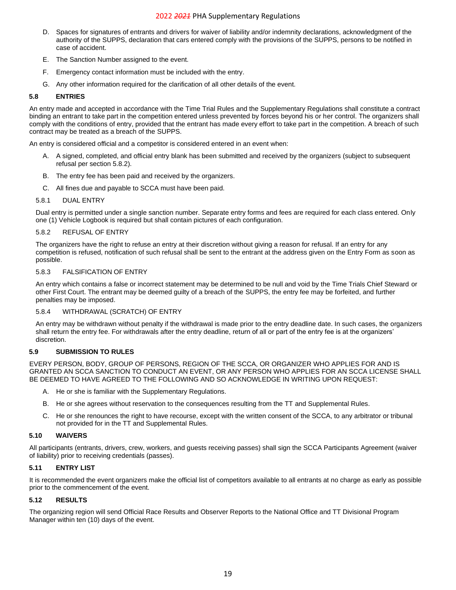- D. Spaces for signatures of entrants and drivers for waiver of liability and/or indemnity declarations, acknowledgment of the authority of the SUPPS, declaration that cars entered comply with the provisions of the SUPPS, persons to be notified in case of accident.
- E. The Sanction Number assigned to the event.
- F. Emergency contact information must be included with the entry.
- G. Any other information required for the clarification of all other details of the event.

#### <span id="page-18-0"></span>**5.8 ENTRIES**

An entry made and accepted in accordance with the Time Trial Rules and the Supplementary Regulations shall constitute a contract binding an entrant to take part in the competition entered unless prevented by forces beyond his or her control. The organizers shall comply with the conditions of entry, provided that the entrant has made every effort to take part in the competition. A breach of such contract may be treated as a breach of the SUPPS.

An entry is considered official and a competitor is considered entered in an event when:

- A. A signed, completed, and official entry blank has been submitted and received by the organizers (subject to subsequent refusal per section [5.8.2\)](#page-18-2).
- B. The entry fee has been paid and received by the organizers.
- C. All fines due and payable to SCCA must have been paid.

#### <span id="page-18-1"></span>5.8.1 DUAL ENTRY

Dual entry is permitted under a single sanction number. Separate entry forms and fees are required for each class entered. Only one (1) Vehicle Logbook is required but shall contain pictures of each configuration.

#### <span id="page-18-2"></span>5.8.2 REFUSAL OF ENTRY

The organizers have the right to refuse an entry at their discretion without giving a reason for refusal. If an entry for any competition is refused, notification of such refusal shall be sent to the entrant at the address given on the Entry Form as soon as possible.

#### <span id="page-18-3"></span>5.8.3 FALSIFICATION OF ENTRY

An entry which contains a false or incorrect statement may be determined to be null and void by the Time Trials Chief Steward or other First Court. The entrant may be deemed guilty of a breach of the SUPPS, the entry fee may be forfeited, and further penalties may be imposed.

#### <span id="page-18-4"></span>5.8.4 WITHDRAWAL (SCRATCH) OF ENTRY

An entry may be withdrawn without penalty if the withdrawal is made prior to the entry deadline date. In such cases, the organizers shall return the entry fee. For withdrawals after the entry deadline, return of all or part of the entry fee is at the organizers' discretion.

#### <span id="page-18-5"></span>**5.9 SUBMISSION TO RULES**

EVERY PERSON, BODY, GROUP OF PERSONS, REGION OF THE SCCA, OR ORGANIZER WHO APPLIES FOR AND IS GRANTED AN SCCA SANCTION TO CONDUCT AN EVENT, OR ANY PERSON WHO APPLIES FOR AN SCCA LICENSE SHALL BE DEEMED TO HAVE AGREED TO THE FOLLOWING AND SO ACKNOWLEDGE IN WRITING UPON REQUEST:

- A. He or she is familiar with the Supplementary Regulations.
- B. He or she agrees without reservation to the consequences resulting from the TT and Supplemental Rules.
- C. He or she renounces the right to have recourse, except with the written consent of the SCCA, to any arbitrator or tribunal not provided for in the TT and Supplemental Rules.

#### <span id="page-18-6"></span>**5.10 WAIVERS**

All participants (entrants, drivers, crew, workers, and guests receiving passes) shall sign the SCCA Participants Agreement (waiver of liability) prior to receiving credentials (passes).

#### <span id="page-18-7"></span>**5.11 ENTRY LIST**

It is recommended the event organizers make the official list of competitors available to all entrants at no charge as early as possible prior to the commencement of the event.

#### <span id="page-18-8"></span>**5.12 RESULTS**

<span id="page-18-9"></span>The organizing region will send Official Race Results and Observer Reports to the National Office and TT Divisional Program Manager within ten (10) days of the event.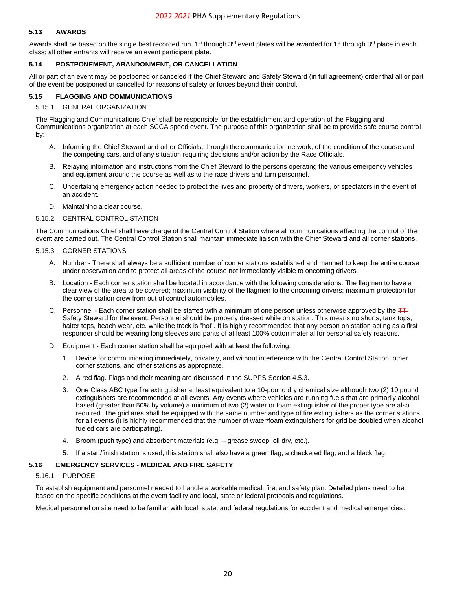## **5.13 AWARDS**

Awards shall be based on the single best recorded run. 1<sup>st</sup> through 3<sup>rd</sup> event plates will be awarded for 1<sup>st</sup> through 3<sup>rd</sup> place in each class; all other entrants will receive an event participant plate.

#### <span id="page-19-0"></span>**5.14 POSTPONEMENT, ABANDONMENT, OR CANCELLATION**

All or part of an event may be postponed or canceled if the Chief Steward and Safety Steward (in full agreement) order that all or part of the event be postponed or cancelled for reasons of safety or forces beyond their control.

#### <span id="page-19-1"></span>**5.15 FLAGGING AND COMMUNICATIONS**

#### <span id="page-19-2"></span>5.15.1 GENERAL ORGANIZATION

The Flagging and Communications Chief shall be responsible for the establishment and operation of the Flagging and Communications organization at each SCCA speed event. The purpose of this organization shall be to provide safe course control by:

- A. Informing the Chief Steward and other Officials, through the communication network, of the condition of the course and the competing cars, and of any situation requiring decisions and/or action by the Race Officials.
- B. Relaying information and instructions from the Chief Steward to the persons operating the various emergency vehicles and equipment around the course as well as to the race drivers and turn personnel.
- C. Undertaking emergency action needed to protect the lives and property of drivers, workers, or spectators in the event of an accident.
- D. Maintaining a clear course.

#### <span id="page-19-3"></span>5.15.2 CENTRAL CONTROL STATION

The Communications Chief shall have charge of the Central Control Station where all communications affecting the control of the event are carried out. The Central Control Station shall maintain immediate liaison with the Chief Steward and all corner stations.

#### <span id="page-19-4"></span>5.15.3 CORNER STATIONS

- A. Number There shall always be a sufficient number of corner stations established and manned to keep the entire course under observation and to protect all areas of the course not immediately visible to oncoming drivers.
- B. Location Each corner station shall be located in accordance with the following considerations: The flagmen to have a clear view of the area to be covered; maximum visibility of the flagmen to the oncoming drivers; maximum protection for the corner station crew from out of control automobiles.
- C. Personnel Each corner station shall be staffed with a minimum of one person unless otherwise approved by the  $\frac{1}{1}$ Safety Steward for the event. Personnel should be properly dressed while on station. This means no shorts, tank tops, halter tops, beach wear, etc. while the track is "hot". It is highly recommended that any person on station acting as a first responder should be wearing long sleeves and pants of at least 100% cotton material for personal safety reasons.
- D. Equipment Each corner station shall be equipped with at least the following:
	- 1. Device for communicating immediately, privately, and without interference with the Central Control Station, other corner stations, and other stations as appropriate.
	- 2. A red flag. Flags and their meaning are discussed in the SUPPS Sectio[n 4.5.3.](#page-14-1)
	- 3. One Class ABC type fire extinguisher at least equivalent to a 10-pound dry chemical size although two (2) 10 pound extinguishers are recommended at all events. Any events where vehicles are running fuels that are primarily alcohol based (greater than 50% by volume) a minimum of two (2) water or foam extinguisher of the proper type are also required. The grid area shall be equipped with the same number and type of fire extinguishers as the corner stations for all events (it is highly recommended that the number of water/foam extinguishers for grid be doubled when alcohol fueled cars are participating).
	- 4. Broom (push type) and absorbent materials (e.g. grease sweep, oil dry, etc.).
	- 5. If a start/finish station is used, this station shall also have a green flag, a checkered flag, and a black flag.

#### <span id="page-19-6"></span><span id="page-19-5"></span>**5.16 EMERGENCY SERVICES - MEDICAL AND FIRE SAFETY**

#### 5.16.1 PURPOSE

To establish equipment and personnel needed to handle a workable medical, fire, and safety plan. Detailed plans need to be based on the specific conditions at the event facility and local, state or federal protocols and regulations.

<span id="page-19-7"></span>Medical personnel on site need to be familiar with local, state, and federal regulations for accident and medical emergencies.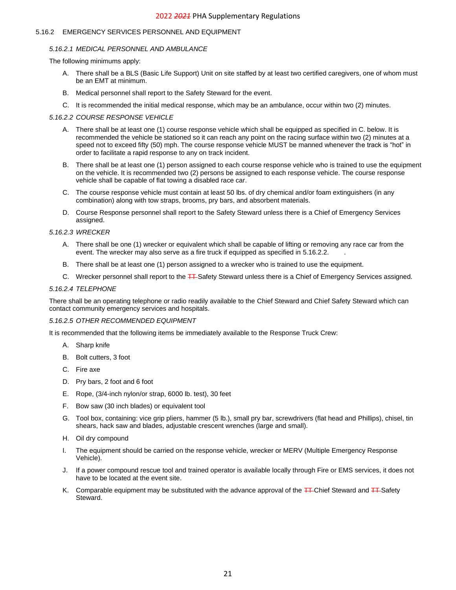## <span id="page-20-0"></span>5.16.2 EMERGENCY SERVICES PERSONNEL AND EQUIPMENT

## *5.16.2.1 MEDICAL PERSONNEL AND AMBULANCE*

The following minimums apply:

- A. There shall be a BLS (Basic Life Support) Unit on site staffed by at least two certified caregivers, one of whom must be an EMT at minimum.
- B. Medical personnel shall report to the Safety Steward for the event.
- C. It is recommended the initial medical response, which may be an ambulance, occur within two (2) minutes.

## <span id="page-20-1"></span>*5.16.2.2 COURSE RESPONSE VEHICLE*

- A. There shall be at least one (1) course response vehicle which shall be equipped as specified in C. below. It is recommended the vehicle be stationed so it can reach any point on the racing surface within two (2) minutes at a speed not to exceed fifty (50) mph. The course response vehicle MUST be manned whenever the track is "hot" in order to facilitate a rapid response to any on track incident.
- B. There shall be at least one (1) person assigned to each course response vehicle who is trained to use the equipment on the vehicle. It is recommended two (2) persons be assigned to each response vehicle. The course response vehicle shall be capable of flat towing a disabled race car.
- C. The course response vehicle must contain at least 50 lbs. of dry chemical and/or foam extinguishers (in any combination) along with tow straps, brooms, pry bars, and absorbent materials.
- D. Course Response personnel shall report to the Safety Steward unless there is a Chief of Emergency Services assigned.

## <span id="page-20-2"></span>*5.16.2.3 WRECKER*

- A. There shall be one (1) wrecker or equivalent which shall be capable of lifting or removing any race car from the event. The wrecker may also serve as a fire truck if equipped as specified in [5.16.2.2.](#page-20-1)
- B. There shall be at least one (1) person assigned to a wrecker who is trained to use the equipment.
- C. Wrecker personnel shall report to the **TT**-Safety Steward unless there is a Chief of Emergency Services assigned.

## <span id="page-20-3"></span>*5.16.2.4 TELEPHONE*

There shall be an operating telephone or radio readily available to the Chief Steward and Chief Safety Steward which can contact community emergency services and hospitals.

## <span id="page-20-4"></span>*5.16.2.5 OTHER RECOMMENDED EQUIPMENT*

It is recommended that the following items be immediately available to the Response Truck Crew:

- A. Sharp knife
- B. Bolt cutters, 3 foot
- C. Fire axe
- D. Pry bars, 2 foot and 6 foot
- E. Rope, (3/4-inch nylon/or strap, 6000 lb. test), 30 feet
- F. Bow saw (30 inch blades) or equivalent tool
- G. Tool box, containing: vice grip pliers, hammer (5 lb.), small pry bar, screwdrivers (flat head and Phillips), chisel, tin shears, hack saw and blades, adjustable crescent wrenches (large and small).
- H. Oil dry compound
- I. The equipment should be carried on the response vehicle, wrecker or MERV (Multiple Emergency Response Vehicle).
- J. If a power compound rescue tool and trained operator is available locally through Fire or EMS services, it does not have to be located at the event site.
- <span id="page-20-5"></span>K. Comparable equipment may be substituted with the advance approval of the TT-Chief Steward and TT-Safety **Steward**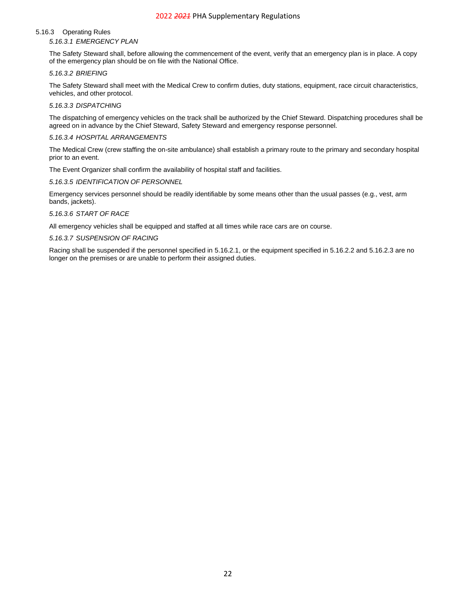#### <span id="page-21-0"></span>5.16.3 Operating Rules

*5.16.3.1 EMERGENCY PLAN*

The Safety Steward shall, before allowing the commencement of the event, verify that an emergency plan is in place. A copy of the emergency plan should be on file with the National Office.

#### <span id="page-21-1"></span>*5.16.3.2 BRIEFING*

The Safety Steward shall meet with the Medical Crew to confirm duties, duty stations, equipment, race circuit characteristics, vehicles, and other protocol.

#### <span id="page-21-2"></span>*5.16.3.3 DISPATCHING*

The dispatching of emergency vehicles on the track shall be authorized by the Chief Steward. Dispatching procedures shall be agreed on in advance by the Chief Steward, Safety Steward and emergency response personnel.

## <span id="page-21-3"></span>*5.16.3.4 HOSPITAL ARRANGEMENTS*

The Medical Crew (crew staffing the on-site ambulance) shall establish a primary route to the primary and secondary hospital prior to an event.

The Event Organizer shall confirm the availability of hospital staff and facilities.

#### <span id="page-21-4"></span>*5.16.3.5 IDENTIFICATION OF PERSONNEL*

Emergency services personnel should be readily identifiable by some means other than the usual passes (e.g., vest, arm bands, jackets).

## <span id="page-21-5"></span>*5.16.3.6 START OF RACE*

All emergency vehicles shall be equipped and staffed at all times while race cars are on course.

#### <span id="page-21-6"></span>*5.16.3.7 SUSPENSION OF RACING*

Racing shall be suspended if the personnel specified in [5.16.2.1,](#page-20-0) or the equipment specified in [5.16.2.2](#page-20-1) and [5.16.2.3](#page-20-2) are no longer on the premises or are unable to perform their assigned duties.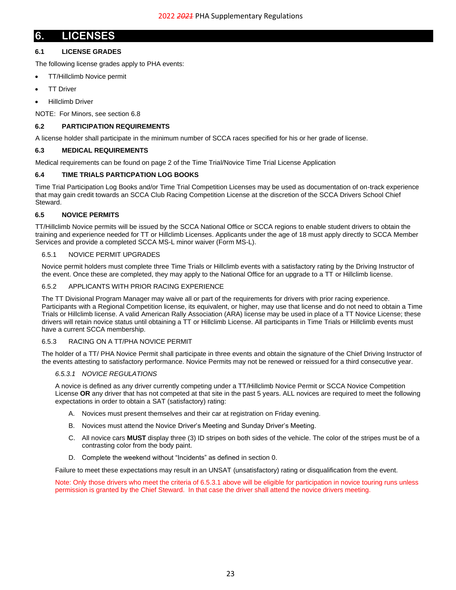## <span id="page-22-0"></span>**6. LICENSES**

## <span id="page-22-1"></span>**6.1 LICENSE GRADES**

The following license grades apply to PHA events:

- TT/Hillclimb Novice permit
- **TT Driver**
- Hillclimb Driver

NOTE: For Minors, see section [6.8](#page-23-7)

#### <span id="page-22-2"></span>**6.2 PARTICIPATION REQUIREMENTS**

A license holder shall participate in the minimum number of SCCA races specified for his or her grade of license.

#### <span id="page-22-3"></span>**6.3 MEDICAL REQUIREMENTS**

Medical requirements can be found on page 2 of the Time Trial/Novice Time Trial License Application

#### <span id="page-22-4"></span>**6.4 TIME TRIALS PARTICPATION LOG BOOKS**

Time Trial Participation Log Books and/or Time Trial Competition Licenses may be used as documentation of on-track experience that may gain credit towards an SCCA Club Racing Competition License at the discretion of the SCCA Drivers School Chief Steward.

#### <span id="page-22-5"></span>**6.5 NOVICE PERMITS**

TT/Hillclimb Novice permits will be issued by the SCCA National Office or SCCA regions to enable student drivers to obtain the training and experience needed for TT or Hillclimb Licenses. Applicants under the age of 18 must apply directly to SCCA Member Services and provide a completed SCCA MS-L minor waiver (Form MS-L).

### <span id="page-22-6"></span>6.5.1 NOVICE PERMIT UPGRADES

Novice permit holders must complete three Time Trials or Hillclimb events with a satisfactory rating by the Driving Instructor of the event. Once these are completed, they may apply to the National Office for an upgrade to a TT or Hillclimb license.

#### <span id="page-22-7"></span>6.5.2 APPLICANTS WITH PRIOR RACING EXPERIENCE

The TT Divisional Program Manager may waive all or part of the requirements for drivers with prior racing experience. Participants with a Regional Competition license, its equivalent, or higher, may use that license and do not need to obtain a Time Trials or Hillclimb license. A valid American Rally Association (ARA) license may be used in place of a TT Novice License; these drivers will retain novice status until obtaining a TT or Hillclimb License. All participants in Time Trials or Hillclimb events must have a current SCCA membership.

#### <span id="page-22-8"></span>6.5.3 RACING ON A TT/PHA NOVICE PERMIT

<span id="page-22-9"></span>The holder of a TT/ PHA Novice Permit shall participate in three events and obtain the signature of the Chief Driving Instructor of the events attesting to satisfactory performance. Novice Permits may not be renewed or reissued for a third consecutive year.

#### *6.5.3.1 NOVICE REGULATIONS*

A novice is defined as any driver currently competing under a TT/Hillclimb Novice Permit or SCCA Novice Competition License **OR** any driver that has not competed at that site in the past 5 years. ALL novices are required to meet the following expectations in order to obtain a SAT (satisfactory) rating:

- A. Novices must present themselves and their car at registration on Friday evening.
- B. Novices must attend the Novice Driver's Meeting and Sunday Driver's Meeting.
- C. All novice cars **MUST** display three (3) ID stripes on both sides of the vehicle. The color of the stripes must be of a contrasting color from the body paint.
- D. Complete the weekend without "Incidents" as defined in sectio[n 0.](#page-22-10)

Failure to meet these expectations may result in an UNSAT (unsatisfactory) rating or disqualification from the event.

<span id="page-22-10"></span>Note: Only those drivers who meet the criteria of 6.5.3.1 above will be eligible for participation in novice touring runs unless permission is granted by the Chief Steward. In that case the driver shall attend the novice drivers meeting.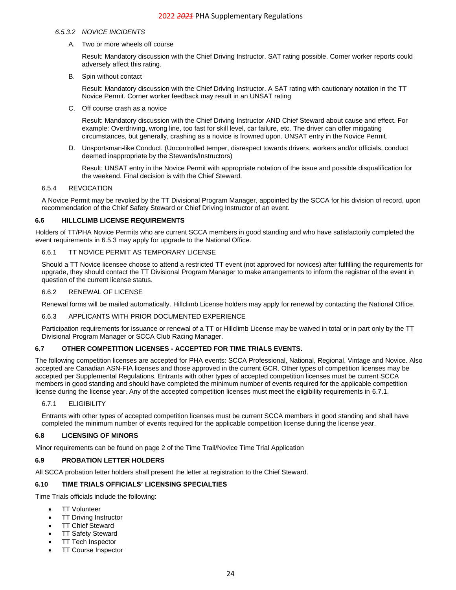#### *6.5.3.2 NOVICE INCIDENTS*

A. Two or more wheels off course

Result: Mandatory discussion with the Chief Driving Instructor. SAT rating possible. Corner worker reports could adversely affect this rating.

B. Spin without contact

Result: Mandatory discussion with the Chief Driving Instructor. A SAT rating with cautionary notation in the TT Novice Permit. Corner worker feedback may result in an UNSAT rating

C. Off course crash as a novice

Result: Mandatory discussion with the Chief Driving Instructor AND Chief Steward about cause and effect. For example: Overdriving, wrong line, too fast for skill level, car failure, etc. The driver can offer mitigating circumstances, but generally, crashing as a novice is frowned upon. UNSAT entry in the Novice Permit.

D. Unsportsman-like Conduct. (Uncontrolled temper, disrespect towards drivers, workers and/or officials, conduct deemed inappropriate by the Stewards/Instructors)

Result: UNSAT entry in the Novice Permit with appropriate notation of the issue and possible disqualification for the weekend. Final decision is with the Chief Steward.

## <span id="page-23-0"></span>6.5.4 REVOCATION

A Novice Permit may be revoked by the TT Divisional Program Manager, appointed by the SCCA for his division of record, upon recommendation of the Chief Safety Steward or Chief Driving Instructor of an event.

#### <span id="page-23-1"></span>**6.6 HILLCLIMB LICENSE REQUIREMENTS**

Holders of TT/PHA Novice Permits who are current SCCA members in good standing and who have satisfactorily completed the event requirements in [6.5.3](#page-22-8) may apply for upgrade to the National Office.

#### <span id="page-23-2"></span>6.6.1 TT NOVICE PERMIT AS TEMPORARY LICENSE

Should a TT Novice licensee choose to attend a restricted TT event (not approved for novices) after fulfilling the requirements for upgrade, they should contact the TT Divisional Program Manager to make arrangements to inform the registrar of the event in question of the current license status.

#### <span id="page-23-3"></span>6.6.2 RENEWAL OF LICENSE

Renewal forms will be mailed automatically. Hillclimb License holders may apply for renewal by contacting the National Office.

#### <span id="page-23-4"></span>6.6.3 APPLICANTS WITH PRIOR DOCUMENTED EXPERIENCE

Participation requirements for issuance or renewal of a TT or Hillclimb License may be waived in total or in part only by the TT Divisional Program Manager or SCCA Club Racing Manager.

#### <span id="page-23-5"></span>**6.7 OTHER COMPETITION LICENSES - ACCEPTED FOR TIME TRIALS EVENTS.**

The following competition licenses are accepted for PHA events: SCCA Professional, National, Regional, Vintage and Novice. Also accepted are Canadian ASN-FIA licenses and those approved in the current GCR. Other types of competition licenses may be accepted per Supplemental Regulations. Entrants with other types of accepted competition licenses must be current SCCA members in good standing and should have completed the minimum number of events required for the applicable competition license during the license year. Any of the accepted competition licenses must meet the eligibility requirements in [6.7.1.](#page-23-6)

#### <span id="page-23-6"></span>6.7.1 ELIGIBILITY

Entrants with other types of accepted competition licenses must be current SCCA members in good standing and shall have completed the minimum number of events required for the applicable competition license during the license year.

#### <span id="page-23-7"></span>**6.8 LICENSING OF MINORS**

Minor requirements can be found on page 2 of the Time Trail/Novice Time Trial Application

#### <span id="page-23-8"></span>**6.9 PROBATION LETTER HOLDERS**

All SCCA probation letter holders shall present the letter at registration to the Chief Steward.

## <span id="page-23-9"></span>**6.10 TIME TRIALS OFFICIALS' LICENSING SPECIALTIES**

Time Trials officials include the following:

- TT Volunteer
- **TT Driving Instructor**
- TT Chief Steward
- **TT Safety Steward**
- **TT Tech Inspector**
- **TT Course Inspector**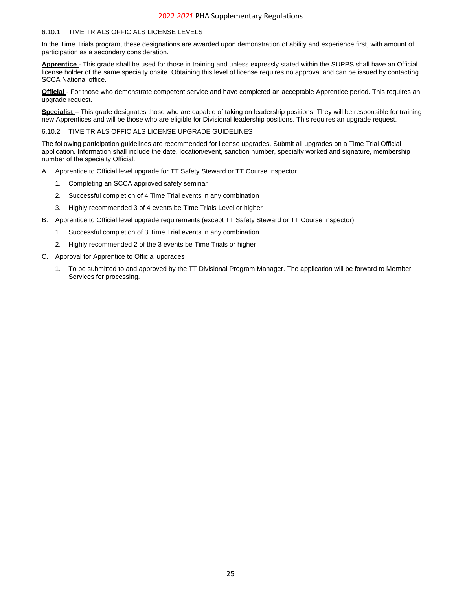#### <span id="page-24-0"></span>6.10.1 TIME TRIALS OFFICIALS LICENSE LEVELS

In the Time Trials program, these designations are awarded upon demonstration of ability and experience first, with amount of participation as a secondary consideration.

**Apprentice** - This grade shall be used for those in training and unless expressly stated within the SUPPS shall have an Official license holder of the same specialty onsite. Obtaining this level of license requires no approval and can be issued by contacting SCCA National office.

**Official** - For those who demonstrate competent service and have completed an acceptable Apprentice period. This requires an upgrade request.

**Specialist** – This grade designates those who are capable of taking on leadership positions. They will be responsible for training new Apprentices and will be those who are eligible for Divisional leadership positions. This requires an upgrade request.

<span id="page-24-1"></span>6.10.2 TIME TRIALS OFFICIALS LICENSE UPGRADE GUIDELINES

The following participation guidelines are recommended for license upgrades. Submit all upgrades on a Time Trial Official application. Information shall include the date, location/event, sanction number, specialty worked and signature, membership number of the specialty Official.

- A. Apprentice to Official level upgrade for TT Safety Steward or TT Course Inspector
	- 1. Completing an SCCA approved safety seminar
	- 2. Successful completion of 4 Time Trial events in any combination
	- 3. Highly recommended 3 of 4 events be Time Trials Level or higher
- B. Apprentice to Official level upgrade requirements (except TT Safety Steward or TT Course Inspector)
	- 1. Successful completion of 3 Time Trial events in any combination
	- 2. Highly recommended 2 of the 3 events be Time Trials or higher
- C. Approval for Apprentice to Official upgrades
	- 1. To be submitted to and approved by the TT Divisional Program Manager. The application will be forward to Member Services for processing.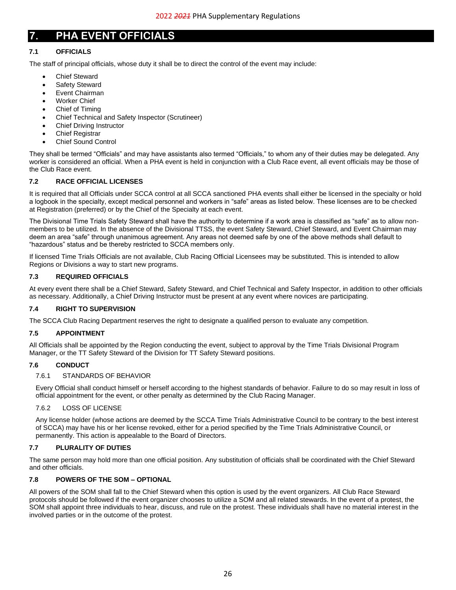## <span id="page-25-0"></span>**7. PHA EVENT OFFICIALS**

## <span id="page-25-1"></span>**7.1 OFFICIALS**

The staff of principal officials, whose duty it shall be to direct the control of the event may include:

- **Chief Steward**
- Safety Steward
- Event Chairman
- Worker Chief
- Chief of Timing
- Chief Technical and Safety Inspector (Scrutineer)
- Chief Driving Instructor
- Chief Registrar
- Chief Sound Control

They shall be termed "Officials" and may have assistants also termed "Officials," to whom any of their duties may be delegated. Any worker is considered an official. When a PHA event is held in conjunction with a Club Race event, all event officials may be those of the Club Race event.

## <span id="page-25-2"></span>**7.2 RACE OFFICIAL LICENSES**

It is required that all Officials under SCCA control at all SCCA sanctioned PHA events shall either be licensed in the specialty or hold a logbook in the specialty, except medical personnel and workers in "safe" areas as listed below. These licenses are to be checked at Registration (preferred) or by the Chief of the Specialty at each event.

The Divisional Time Trials Safety Steward shall have the authority to determine if a work area is classified as "safe" as to allow nonmembers to be utilized. In the absence of the Divisional TTSS, the event Safety Steward, Chief Steward, and Event Chairman may deem an area "safe" through unanimous agreement. Any areas not deemed safe by one of the above methods shall default to "hazardous" status and be thereby restricted to SCCA members only.

If licensed Time Trials Officials are not available, Club Racing Official Licensees may be substituted. This is intended to allow Regions or Divisions a way to start new programs.

## <span id="page-25-3"></span>**7.3 REQUIRED OFFICIALS**

At every event there shall be a Chief Steward, Safety Steward, and Chief Technical and Safety Inspector, in addition to other officials as necessary. Additionally, a Chief Driving Instructor must be present at any event where novices are participating.

## <span id="page-25-4"></span>**7.4 RIGHT TO SUPERVISION**

The SCCA Club Racing Department reserves the right to designate a qualified person to evaluate any competition.

## <span id="page-25-5"></span>**7.5 APPOINTMENT**

All Officials shall be appointed by the Region conducting the event, subject to approval by the Time Trials Divisional Program Manager, or the TT Safety Steward of the Division for TT Safety Steward positions.

## <span id="page-25-7"></span><span id="page-25-6"></span>**7.6 CONDUCT**

## 7.6.1 STANDARDS OF BEHAVIOR

Every Official shall conduct himself or herself according to the highest standards of behavior. Failure to do so may result in loss of official appointment for the event, or other penalty as determined by the Club Racing Manager.

## <span id="page-25-8"></span>7.6.2 LOSS OF LICENSE

Any license holder (whose actions are deemed by the SCCA Time Trials Administrative Council to be contrary to the best interest of SCCA) may have his or her license revoked, either for a period specified by the Time Trials Administrative Council, or permanently. This action is appealable to the Board of Directors.

## <span id="page-25-9"></span>**7.7 PLURALITY OF DUTIES**

The same person may hold more than one official position. Any substitution of officials shall be coordinated with the Chief Steward and other officials.

## <span id="page-25-10"></span>**7.8 POWERS OF THE SOM – OPTIONAL**

<span id="page-25-11"></span>All powers of the SOM shall fall to the Chief Steward when this option is used by the event organizers. All Club Race Steward protocols should be followed if the event organizer chooses to utilize a SOM and all related stewards. In the event of a protest, the SOM shall appoint three individuals to hear, discuss, and rule on the protest. These individuals shall have no material interest in the involved parties or in the outcome of the protest.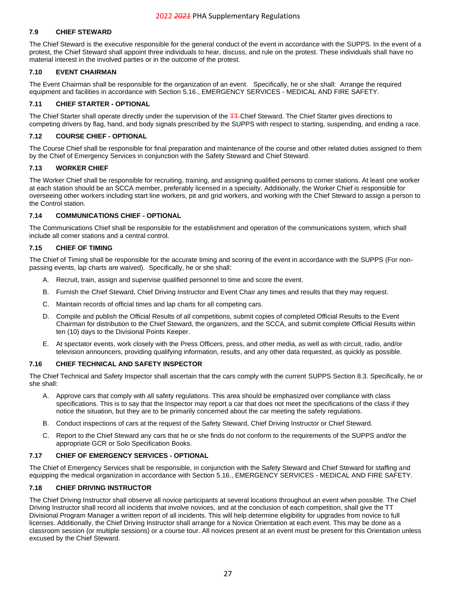## **7.9 CHIEF STEWARD**

The Chief Steward is the executive responsible for the general conduct of the event in accordance with the SUPPS. In the event of a protest, the Chief Steward shall appoint three individuals to hear, discuss, and rule on the protest. These individuals shall have no material interest in the involved parties or in the outcome of the protest.

## <span id="page-26-0"></span>**7.10 EVENT CHAIRMAN**

The Event Chairman shall be responsible for the organization of an event. Specifically, he or she shall: Arrange the required equipment and facilities in accordance with Section [5.16.](#page-19-5), EMERGENCY SERVICES - [MEDICAL AND FIRE SAFETY.](#page-19-5)

#### <span id="page-26-1"></span>**7.11 CHIEF STARTER - OPTIONAL**

The Chief Starter shall operate directly under the supervision of the TT-Chief Steward. The Chief Starter gives directions to competing drivers by flag, hand, and body signals prescribed by the SUPPS with respect to starting, suspending, and ending a race.

## <span id="page-26-2"></span>**7.12 COURSE CHIEF - OPTIONAL**

The Course Chief shall be responsible for final preparation and maintenance of the course and other related duties assigned to them by the Chief of Emergency Services in conjunction with the Safety Steward and Chief Steward.

#### <span id="page-26-3"></span>**7.13 WORKER CHIEF**

The Worker Chief shall be responsible for recruiting, training, and assigning qualified persons to corner stations. At least one worker at each station should be an SCCA member, preferably licensed in a specialty. Additionally, the Worker Chief is responsible for overseeing other workers including start line workers, pit and grid workers, and working with the Chief Steward to assign a person to the Control station.

#### <span id="page-26-4"></span>**7.14 COMMUNICATIONS CHIEF - OPTIONAL**

The Communications Chief shall be responsible for the establishment and operation of the communications system, which shall include all corner stations and a central control.

#### <span id="page-26-5"></span>**7.15 CHIEF OF TIMING**

The Chief of Timing shall be responsible for the accurate timing and scoring of the event in accordance with the SUPPS (For nonpassing events, lap charts are waived). Specifically, he or she shall:

- A. Recruit, train, assign and supervise qualified personnel to time and score the event.
- B. Furnish the Chief Steward, Chief Driving Instructor and Event Chair any times and results that they may request.
- C. Maintain records of official times and lap charts for all competing cars.
- D. Compile and publish the Official Results of all competitions, submit copies of completed Official Results to the Event Chairman for distribution to the Chief Steward, the organizers, and the SCCA, and submit complete Official Results within ten (10) days to the Divisional Points Keeper.
- E. At spectator events, work closely with the Press Officers, press, and other media, as well as with circuit, radio, and/or television announcers, providing qualifying information, results, and any other data requested, as quickly as possible.

#### <span id="page-26-6"></span>**7.16 CHIEF TECHNICAL AND SAFETY INSPECTOR**

The Chief Technical and Safety Inspector shall ascertain that the cars comply with the current SUPPS Section [8.3.](#page-29-3) Specifically, he or she shall:

- A. Approve cars that comply with all safety regulations. This area should be emphasized over compliance with class specifications. This is to say that the Inspector may report a car that does not meet the specifications of the class if they notice the situation, but they are to be primarily concerned about the car meeting the safety regulations.
- B. Conduct inspections of cars at the request of the Safety Steward, Chief Driving Instructor or Chief Steward.
- C. Report to the Chief Steward any cars that he or she finds do not conform to the requirements of the SUPPS and/or the appropriate GCR or Solo Specification Books.

#### <span id="page-26-7"></span>**7.17 CHIEF OF EMERGENCY SERVICES - OPTIONAL**

The Chief of Emergency Services shall be responsible, in conjunction with the Safety Steward and Chief Steward for staffing and equipping the medical organization in accordance with Sectio[n 5.16.](#page-19-5), EMERGENCY SERVICES - [MEDICAL AND FIRE SAFETY.](#page-19-5)

#### <span id="page-26-8"></span>**7.18 CHIEF DRIVING INSTRUCTOR**

The Chief Driving Instructor shall observe all novice participants at several locations throughout an event when possible. The Chief Driving Instructor shall record all incidents that involve novices, and at the conclusion of each competition, shall give the TT Divisional Program Manager a written report of all incidents. This will help determine eligibility for upgrades from novice to full licenses. Additionally, the Chief Driving Instructor shall arrange for a Novice Orientation at each event. This may be done as a classroom session (or multiple sessions) or a course tour. All novices present at an event must be present for this Orientation unless excused by the Chief Steward.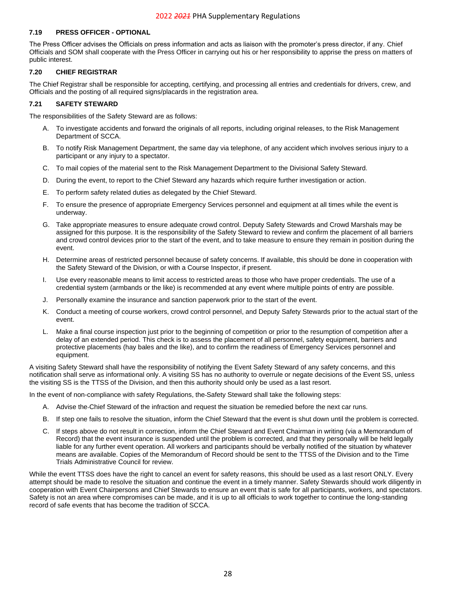#### <span id="page-27-0"></span>**7.19 PRESS OFFICER - OPTIONAL**

The Press Officer advises the Officials on press information and acts as liaison with the promoter's press director, if any. Chief Officials and SOM shall cooperate with the Press Officer in carrying out his or her responsibility to apprise the press on matters of public interest.

## <span id="page-27-1"></span>**7.20 CHIEF REGISTRAR**

The Chief Registrar shall be responsible for accepting, certifying, and processing all entries and credentials for drivers, crew, and Officials and the posting of all required signs/placards in the registration area.

#### <span id="page-27-2"></span>**7.21 SAFETY STEWARD**

The responsibilities of the Safety Steward are as follows:

- A. To investigate accidents and forward the originals of all reports, including original releases, to the Risk Management Department of SCCA.
- B. To notify Risk Management Department, the same day via telephone, of any accident which involves serious injury to a participant or any injury to a spectator.
- C. To mail copies of the material sent to the Risk Management Department to the Divisional Safety Steward.
- D. During the event, to report to the Chief Steward any hazards which require further investigation or action.
- E. To perform safety related duties as delegated by the Chief Steward.
- F. To ensure the presence of appropriate Emergency Services personnel and equipment at all times while the event is underway.
- G. Take appropriate measures to ensure adequate crowd control. Deputy Safety Stewards and Crowd Marshals may be assigned for this purpose. It is the responsibility of the Safety Steward to review and confirm the placement of all barriers and crowd control devices prior to the start of the event, and to take measure to ensure they remain in position during the event.
- H. Determine areas of restricted personnel because of safety concerns. If available, this should be done in cooperation with the Safety Steward of the Division, or with a Course Inspector, if present.
- I. Use every reasonable means to limit access to restricted areas to those who have proper credentials. The use of a credential system (armbands or the like) is recommended at any event where multiple points of entry are possible.
- J. Personally examine the insurance and sanction paperwork prior to the start of the event.
- K. Conduct a meeting of course workers, crowd control personnel, and Deputy Safety Stewards prior to the actual start of the event.
- L. Make a final course inspection just prior to the beginning of competition or prior to the resumption of competition after a delay of an extended period. This check is to assess the placement of all personnel, safety equipment, barriers and protective placements (hay bales and the like), and to confirm the readiness of Emergency Services personnel and equipment.

A visiting Safety Steward shall have the responsibility of notifying the Event Safety Steward of any safety concerns, and this notification shall serve as informational only. A visiting SS has no authority to overrule or negate decisions of the Event SS, unless the visiting SS is the TTSS of the Division, and then this authority should only be used as a last resort.

In the event of non-compliance with safety Regulations, the Safety Steward shall take the following steps:

- A. Advise the Chief Steward of the infraction and request the situation be remedied before the next car runs.
- B. If step one fails to resolve the situation, inform the Chief Steward that the event is shut down until the problem is corrected.
- C. If steps above do not result in correction, inform the Chief Steward and Event Chairman in writing (via a Memorandum of Record) that the event insurance is suspended until the problem is corrected, and that they personally will be held legally liable for any further event operation. All workers and participants should be verbally notified of the situation by whatever means are available. Copies of the Memorandum of Record should be sent to the TTSS of the Division and to the Time Trials Administrative Council for review.

<span id="page-27-3"></span>While the event TTSS does have the right to cancel an event for safety reasons, this should be used as a last resort ONLY. Every attempt should be made to resolve the situation and continue the event in a timely manner. Safety Stewards should work diligently in cooperation with Event Chairpersons and Chief Stewards to ensure an event that is safe for all participants, workers, and spectators. Safety is not an area where compromises can be made, and it is up to all officials to work together to continue the long-standing record of safe events that has become the tradition of SCCA.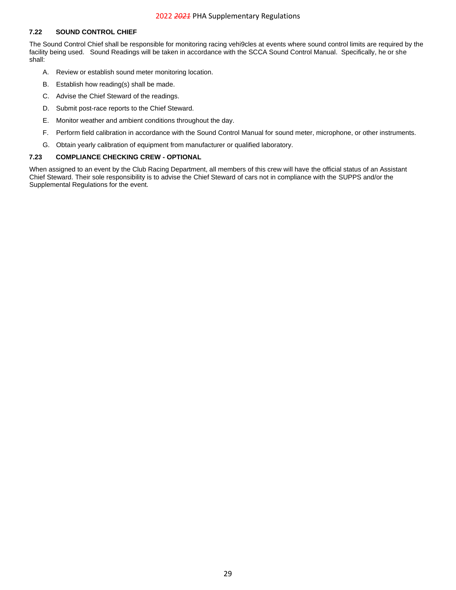#### **7.22 SOUND CONTROL CHIEF**

The Sound Control Chief shall be responsible for monitoring racing vehi9cles at events where sound control limits are required by the facility being used. Sound Readings will be taken in accordance with the SCCA Sound Control Manual. Specifically, he or she shall:

- A. Review or establish sound meter monitoring location.
- B. Establish how reading(s) shall be made.
- C. Advise the Chief Steward of the readings.
- D. Submit post-race reports to the Chief Steward.
- E. Monitor weather and ambient conditions throughout the day.
- F. Perform field calibration in accordance with the Sound Control Manual for sound meter, microphone, or other instruments.
- G. Obtain yearly calibration of equipment from manufacturer or qualified laboratory.

#### <span id="page-28-0"></span>**7.23 COMPLIANCE CHECKING CREW - OPTIONAL**

When assigned to an event by the Club Racing Department, all members of this crew will have the official status of an Assistant Chief Steward. Their sole responsibility is to advise the Chief Steward of cars not in compliance with the SUPPS and/or the Supplemental Regulations for the event.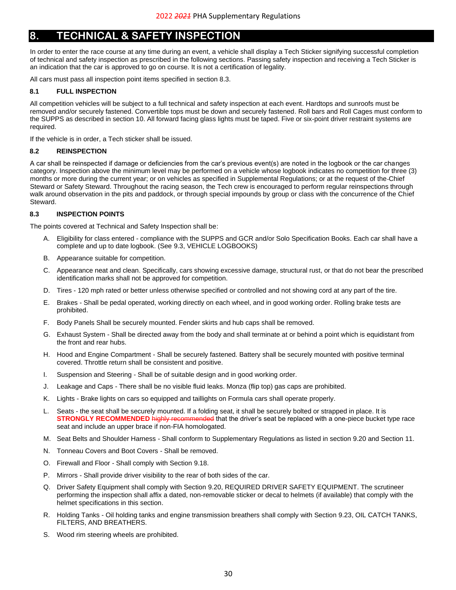## <span id="page-29-0"></span>**8. TECHNICAL & SAFETY INSPECTION**

In order to enter the race course at any time during an event, a vehicle shall display a Tech Sticker signifying successful completion of technical and safety inspection as prescribed in the following sections. Passing safety inspection and receiving a Tech Sticker is an indication that the car is approved to go on course. It is not a certification of legality.

All cars must pass all inspection point items specified in section [8.3.](#page-29-3)

## <span id="page-29-1"></span>**8.1 FULL INSPECTION**

All competition vehicles will be subject to a full technical and safety inspection at each event. Hardtops and sunroofs must be removed and/or securely fastened. Convertible tops must be down and securely fastened. Roll bars and Roll Cages must conform to the SUPPS as described in section [10.](#page-42-0) All forward facing glass lights must be taped. Five or six-point driver restraint systems are required.

If the vehicle is in order, a Tech sticker shall be issued.

## <span id="page-29-2"></span>**8.2 REINSPECTION**

A car shall be reinspected if damage or deficiencies from the car's previous event(s) are noted in the logbook or the car changes category. Inspection above the minimum level may be performed on a vehicle whose logbook indicates no competition for three (3) months or more during the current year; or on vehicles as specified in Supplemental Regulations; or at the request of the Chief Steward or Safety Steward. Throughout the racing season, the Tech crew is encouraged to perform regular reinspections through walk around observation in the pits and paddock, or through special impounds by group or class with the concurrence of the Chief Steward.

## <span id="page-29-3"></span>**8.3 INSPECTION POINTS**

The points covered at Technical and Safety Inspection shall be:

- A. Eligibility for class entered compliance with the SUPPS and GCR and/or Solo Specification Books. Each car shall have a complete and up to date logbook. (See [9.3, VEHICLE LOGBOOKS\)](#page-31-4)
- B. Appearance suitable for competition.
- C. Appearance neat and clean. Specifically, cars showing excessive damage, structural rust, or that do not bear the prescribed identification marks shall not be approved for competition.
- D. Tires 120 mph rated or better unless otherwise specified or controlled and not showing cord at any part of the tire.
- E. Brakes Shall be pedal operated, working directly on each wheel, and in good working order. Rolling brake tests are prohibited.
- F. Body Panels Shall be securely mounted. Fender skirts and hub caps shall be removed.
- G. Exhaust System Shall be directed away from the body and shall terminate at or behind a point which is equidistant from the front and rear hubs.
- H. Hood and Engine Compartment Shall be securely fastened. Battery shall be securely mounted with positive terminal covered. Throttle return shall be consistent and positive.
- I. Suspension and Steering Shall be of suitable design and in good working order.
- J. Leakage and Caps There shall be no visible fluid leaks. Monza (flip top) gas caps are prohibited.
- K. Lights Brake lights on cars so equipped and taillights on Formula cars shall operate properly.
- Seats the seat shall be securely mounted. If a folding seat, it shall be securely bolted or strapped in place. It is **STRONGLY RECOMMENDED** highly recommended that the driver's seat be replaced with a one-piece bucket type race seat and include an upper brace if non-FIA homologated.
- M. Seat Belts and Shoulder Harness Shall conform to Supplementary Regulations as listed in section [9.20](#page-34-0) and Section [11.](#page-46-0)
- N. Tonneau Covers and Boot Covers Shall be removed.
- O. Firewall and Floor Shall comply with Section [9.18.](#page-33-10)
- P. Mirrors Shall provide driver visibility to the rear of both sides of the car.
- Q. Driver Safety Equipment shall comply with Section [9.20, REQUIRED DRIVER SAFETY EQUIPMENT.](#page-34-0) The scrutineer performing the inspection shall affix a dated, non-removable sticker or decal to helmets (if available) that comply with the helmet specifications in this section.
- R. Holding Tanks Oil holding tanks and engine transmission breathers shall comply with Section [9.23, OIL CATCH TANKS,](#page-35-1)  [FILTERS, AND BREATHERS.](#page-35-1)
- S. Wood rim steering wheels are prohibited.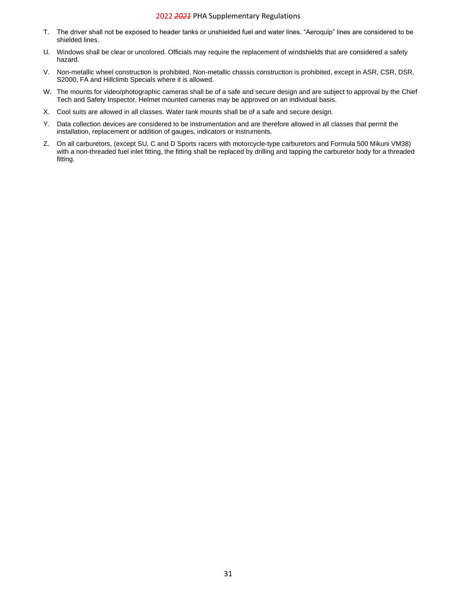- T. The driver shall not be exposed to header tanks or unshielded fuel and water lines. "Aeroquip" lines are considered to be shielded lines.
- U. Windows shall be clear or uncolored. Officials may require the replacement of windshields that are considered a safety hazard.
- V. Non-metallic wheel construction is prohibited. Non-metallic chassis construction is prohibited, except in ASR, CSR, DSR, S2000, FA and Hillclimb Specials where it is allowed.
- W. The mounts for video/photographic cameras shall be of a safe and secure design and are subject to approval by the Chief Tech and Safety Inspector. Helmet mounted cameras may be approved on an individual basis.
- X. Cool suits are allowed in all classes. Water tank mounts shall be of a safe and secure design.
- Y. Data collection devices are considered to be instrumentation and are therefore allowed in all classes that permit the installation, replacement or addition of gauges, indicators or instruments.
- Z. On all carburetors, (except SU, C and D Sports racers with motorcycle-type carburetors and Formula 500 Mikuni VM38) with a non-threaded fuel inlet fitting, the fitting shall be replaced by drilling and tapping the carburetor body for a threaded fitting.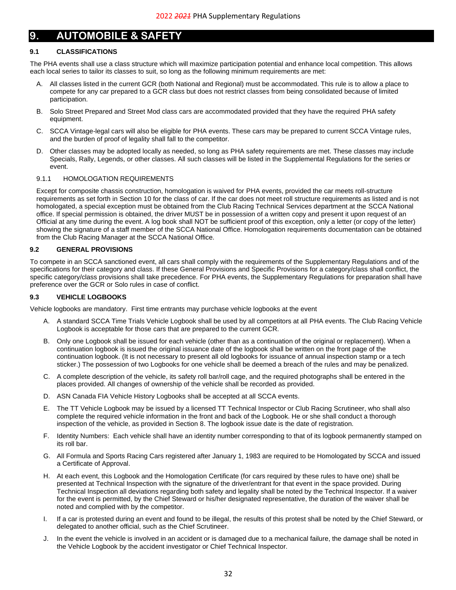## <span id="page-31-0"></span>**9. AUTOMOBILE & SAFETY**

## <span id="page-31-1"></span>**9.1 CLASSIFICATIONS**

The PHA events shall use a class structure which will maximize participation potential and enhance local competition. This allows each local series to tailor its classes to suit, so long as the following minimum requirements are met:

- A. All classes listed in the current GCR (both National and Regional) must be accommodated. This rule is to allow a place to compete for any car prepared to a GCR class but does not restrict classes from being consolidated because of limited participation.
- B. Solo Street Prepared and Street Mod class cars are accommodated provided that they have the required PHA safety equipment.
- C. SCCA Vintage-legal cars will also be eligible for PHA events. These cars may be prepared to current SCCA Vintage rules, and the burden of proof of legality shall fall to the competitor.
- D. Other classes may be adopted locally as needed, so long as PHA safety requirements are met. These classes may include Specials, Rally, Legends, or other classes. All such classes will be listed in the Supplemental Regulations for the series or event.

#### <span id="page-31-2"></span>9.1.1 HOMOLOGATION REQUIREMENTS

Except for composite chassis construction, homologation is waived for PHA events, provided the car meets roll-structure requirements as set forth in Section [10](#page-42-0) for the class of car. If the car does not meet roll structure requirements as listed and is not homologated, a special exception must be obtained from the Club Racing Technical Services department at the SCCA National office. If special permission is obtained, the driver MUST be in possession of a written copy and present it upon request of an Official at any time during the event. A log book shall NOT be sufficient proof of this exception, only a letter (or copy of the letter) showing the signature of a staff member of the SCCA National Office. Homologation requirements documentation can be obtained from the Club Racing Manager at the SCCA National Office.

#### <span id="page-31-3"></span>**9.2 GENERAL PROVISIONS**

To compete in an SCCA sanctioned event, all cars shall comply with the requirements of the Supplementary Regulations and of the specifications for their category and class. If these General Provisions and Specific Provisions for a category/class shall conflict, the specific category/class provisions shall take precedence. For PHA events, the Supplementary Regulations for preparation shall have preference over the GCR or Solo rules in case of conflict.

## <span id="page-31-4"></span>**9.3 VEHICLE LOGBOOKS**

Vehicle logbooks are mandatory. First time entrants may purchase vehicle logbooks at the event

- A. A standard SCCA Time Trials Vehicle Logbook shall be used by all competitors at all PHA events. The Club Racing Vehicle Logbook is acceptable for those cars that are prepared to the current GCR.
- B. Only one Logbook shall be issued for each vehicle (other than as a continuation of the original or replacement). When a continuation logbook is issued the original issuance date of the logbook shall be written on the front page of the continuation logbook. (It is not necessary to present all old logbooks for issuance of annual inspection stamp or a tech sticker.) The possession of two Logbooks for one vehicle shall be deemed a breach of the rules and may be penalized.
- C. A complete description of the vehicle, its safety roll bar/roll cage, and the required photographs shall be entered in the places provided. All changes of ownership of the vehicle shall be recorded as provided.
- D. ASN Canada FIA Vehicle History Logbooks shall be accepted at all SCCA events.
- E. The TT Vehicle Logbook may be issued by a licensed TT Technical Inspector or Club Racing Scrutineer, who shall also complete the required vehicle information in the front and back of the Logbook. He or she shall conduct a thorough inspection of the vehicle, as provided in Section [8.](#page-29-0) The logbook issue date is the date of registration.
- F. Identity Numbers: Each vehicle shall have an identity number corresponding to that of its logbook permanently stamped on its roll bar.
- G. All Formula and Sports Racing Cars registered after January 1, 1983 are required to be Homologated by SCCA and issued a Certificate of Approval.
- H. At each event, this Logbook and the Homologation Certificate (for cars required by these rules to have one) shall be presented at Technical Inspection with the signature of the driver/entrant for that event in the space provided. During Technical Inspection all deviations regarding both safety and legality shall be noted by the Technical Inspector. If a waiver for the event is permitted, by the Chief Steward or his/her designated representative, the duration of the waiver shall be noted and complied with by the competitor.
- I. If a car is protested during an event and found to be illegal, the results of this protest shall be noted by the Chief Steward, or delegated to another official, such as the Chief Scrutineer.
- J. In the event the vehicle is involved in an accident or is damaged due to a mechanical failure, the damage shall be noted in the Vehicle Logbook by the accident investigator or Chief Technical Inspector.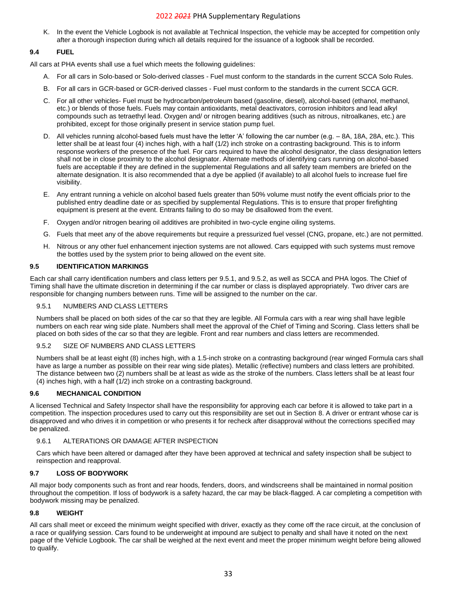K. In the event the Vehicle Logbook is not available at Technical Inspection, the vehicle may be accepted for competition only after a thorough inspection during which all details required for the issuance of a logbook shall be recorded.

## <span id="page-32-0"></span>**9.4 FUEL**

All cars at PHA events shall use a fuel which meets the following guidelines:

- A. For all cars in Solo-based or Solo-derived classes Fuel must conform to the standards in the current SCCA Solo Rules.
- B. For all cars in GCR-based or GCR-derived classes Fuel must conform to the standards in the current SCCA GCR.
- C. For all other vehicles- Fuel must be hydrocarbon/petroleum based (gasoline, diesel), alcohol-based (ethanol, methanol, etc.) or blends of those fuels. Fuels may contain antioxidants, metal deactivators, corrosion inhibitors and lead alkyl compounds such as tetraethyl lead. Oxygen and/ or nitrogen bearing additives (such as nitrous, nitroalkanes, etc.) are prohibited, except for those originally present in service station pump fuel.
- D. All vehicles running alcohol-based fuels must have the letter 'A' following the car number (e.g. 8A, 18A, 28A, etc.). This letter shall be at least four (4) inches high, with a half (1/2) inch stroke on a contrasting background. This is to inform response workers of the presence of the fuel. For cars required to have the alcohol designator, the class designation letters shall not be in close proximity to the alcohol designator. Alternate methods of identifying cars running on alcohol-based fuels are acceptable if they are defined in the supplemental Regulations and all safety team members are briefed on the alternate designation. It is also recommended that a dye be applied (if available) to all alcohol fuels to increase fuel fire visibility.
- E. Any entrant running a vehicle on alcohol based fuels greater than 50% volume must notify the event officials prior to the published entry deadline date or as specified by supplemental Regulations. This is to ensure that proper firefighting equipment is present at the event. Entrants failing to do so may be disallowed from the event.
- F. Oxygen and/or nitrogen bearing oil additives are prohibited in two-cycle engine oiling systems.
- G. Fuels that meet any of the above requirements but require a pressurized fuel vessel (CNG, propane, etc.) are not permitted.
- H. Nitrous or any other fuel enhancement injection systems are not allowed. Cars equipped with such systems must remove the bottles used by the system prior to being allowed on the event site.

## <span id="page-32-1"></span>**9.5 IDENTIFICATION MARKINGS**

Each car shall carry identification numbers and class letters per [9.5.1,](#page-32-2) and [9.5.2,](#page-32-3) as well as SCCA and PHA logos. The Chief of Timing shall have the ultimate discretion in determining if the car number or class is displayed appropriately. Two driver cars are responsible for changing numbers between runs. Time will be assigned to the number on the car.

#### <span id="page-32-2"></span>9.5.1 NUMBERS AND CLASS LETTERS

Numbers shall be placed on both sides of the car so that they are legible. All Formula cars with a rear wing shall have legible numbers on each rear wing side plate. Numbers shall meet the approval of the Chief of Timing and Scoring. Class letters shall be placed on both sides of the car so that they are legible. Front and rear numbers and class letters are recommended.

## <span id="page-32-3"></span>9.5.2 SIZE OF NUMBERS AND CLASS LETTERS

Numbers shall be at least eight (8) inches high, with a 1.5-inch stroke on a contrasting background (rear winged Formula cars shall have as large a number as possible on their rear wing side plates). Metallic (reflective) numbers and class letters are prohibited. The distance between two (2) numbers shall be at least as wide as the stroke of the numbers. Class letters shall be at least four (4) inches high, with a half (1/2) inch stroke on a contrasting background.

## <span id="page-32-4"></span>**9.6 MECHANICAL CONDITION**

A licensed Technical and Safety Inspector shall have the responsibility for approving each car before it is allowed to take part in a competition. The inspection procedures used to carry out this responsibility are set out in Section [8.](#page-29-0) A driver or entrant whose car is disapproved and who drives it in competition or who presents it for recheck after disapproval without the corrections specified may be penalized.

## <span id="page-32-5"></span>9.6.1 ALTERATIONS OR DAMAGE AFTER INSPECTION

Cars which have been altered or damaged after they have been approved at technical and safety inspection shall be subject to reinspection and reapproval.

## <span id="page-32-6"></span>**9.7 LOSS OF BODYWORK**

All major body components such as front and rear hoods, fenders, doors, and windscreens shall be maintained in normal position throughout the competition. If loss of bodywork is a safety hazard, the car may be black-flagged. A car completing a competition with bodywork missing may be penalized.

## <span id="page-32-7"></span>**9.8 WEIGHT**

All cars shall meet or exceed the minimum weight specified with driver, exactly as they come off the race circuit, at the conclusion of a race or qualifying session. Cars found to be underweight at impound are subject to penalty and shall have it noted on the next page of the Vehicle Logbook. The car shall be weighed at the next event and meet the proper minimum weight before being allowed to qualify.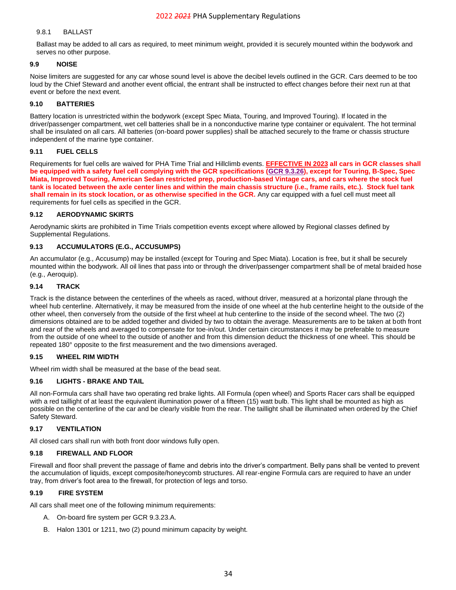#### <span id="page-33-0"></span>9.8.1 BALLAST

Ballast may be added to all cars as required, to meet minimum weight, provided it is securely mounted within the bodywork and serves no other purpose.

#### <span id="page-33-1"></span>**9.9 NOISE**

Noise limiters are suggested for any car whose sound level is above the decibel levels outlined in the GCR. Cars deemed to be too loud by the Chief Steward and another event official, the entrant shall be instructed to effect changes before their next run at that event or before the next event.

## <span id="page-33-2"></span>**9.10 BATTERIES**

Battery location is unrestricted within the bodywork (except Spec Miata, Touring, and Improved Touring). If located in the driver/passenger compartment, wet cell batteries shall be in a nonconductive marine type container or equivalent. The hot terminal shall be insulated on all cars. All batteries (on-board power supplies) shall be attached securely to the frame or chassis structure independent of the marine type container.

#### <span id="page-33-3"></span>**9.11 FUEL CELLS**

Requirements for fuel cells are waived for PHA Time Trial and Hillclimb events. **EFFECTIVE IN 2023 all cars in GCR classes shall be equipped with a safety fuel cell complying with the GCR specifications [\(GCR 9.3.26\)](https://www.scca.com/pages/cars-and-rules), except for Touring, B-Spec, Spec Miata, Improved Touring, American Sedan restricted prep, production-based Vintage cars, and cars where the stock fuel tank is located between the axle center lines and within the main chassis structure (i.e., frame rails, etc.). Stock fuel tank shall remain in its stock location, or as otherwise specified in the GCR.** Any car equipped with a fuel cell must meet all requirements for fuel cells as specified in the GCR.

#### <span id="page-33-4"></span>**9.12 AERODYNAMIC SKIRTS**

Aerodynamic skirts are prohibited in Time Trials competition events except where allowed by Regional classes defined by Supplemental Regulations.

#### <span id="page-33-5"></span>**9.13 ACCUMULATORS (E.G., ACCUSUMPS)**

An accumulator (e.g., Accusump) may be installed (except for Touring and Spec Miata). Location is free, but it shall be securely mounted within the bodywork. All oil lines that pass into or through the driver/passenger compartment shall be of metal braided hose (e.g., Aeroquip).

#### <span id="page-33-6"></span>**9.14 TRACK**

Track is the distance between the centerlines of the wheels as raced, without driver, measured at a horizontal plane through the wheel hub centerline. Alternatively, it may be measured from the inside of one wheel at the hub centerline height to the outside of the other wheel, then conversely from the outside of the first wheel at hub centerline to the inside of the second wheel. The two (2) dimensions obtained are to be added together and divided by two to obtain the average. Measurements are to be taken at both front and rear of the wheels and averaged to compensate for toe-in/out. Under certain circumstances it may be preferable to measure from the outside of one wheel to the outside of another and from this dimension deduct the thickness of one wheel. This should be repeated 180° opposite to the first measurement and the two dimensions averaged.

## <span id="page-33-7"></span>**9.15 WHEEL RIM WIDTH**

Wheel rim width shall be measured at the base of the bead seat.

## <span id="page-33-8"></span>**9.16 LIGHTS - BRAKE AND TAIL**

All non-Formula cars shall have two operating red brake lights. All Formula (open wheel) and Sports Racer cars shall be equipped with a red taillight of at least the equivalent illumination power of a fifteen (15) watt bulb. This light shall be mounted as high as possible on the centerline of the car and be clearly visible from the rear. The taillight shall be illuminated when ordered by the Chief Safety Steward.

#### <span id="page-33-9"></span>**9.17 VENTILATION**

All closed cars shall run with both front door windows fully open.

#### <span id="page-33-10"></span>**9.18 FIREWALL AND FLOOR**

Firewall and floor shall prevent the passage of flame and debris into the driver's compartment. Belly pans shall be vented to prevent the accumulation of liquids, except composite/honeycomb structures. All rear-engine Formula cars are required to have an under tray, from driver's foot area to the firewall, for protection of legs and torso.

## <span id="page-33-11"></span>**9.19 FIRE SYSTEM**

All cars shall meet one of the following minimum requirements:

- A. On-board fire system per GCR 9.3.23.A.
- B. Halon 1301 or 1211, two (2) pound minimum capacity by weight.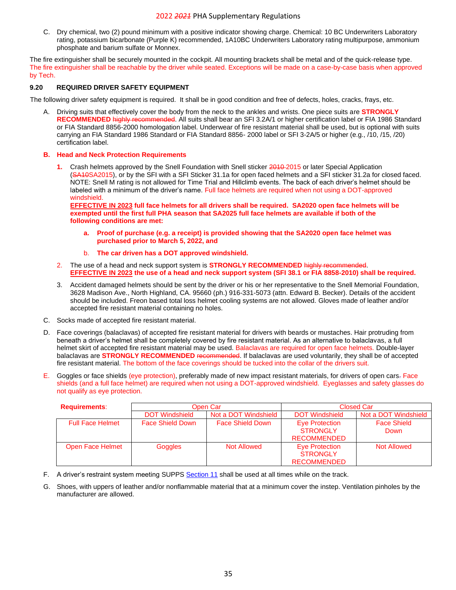C. Dry chemical, two (2) pound minimum with a positive indicator showing charge. Chemical: 10 BC Underwriters Laboratory rating, potassium bicarbonate (Purple K) recommended, 1A10BC Underwriters Laboratory rating multipurpose, ammonium phosphate and barium sulfate or Monnex.

The fire extinguisher shall be securely mounted in the cockpit. All mounting brackets shall be metal and of the quick-release type. The fire extinguisher shall be reachable by the driver while seated. Exceptions will be made on a case-by-case basis when approved by Tech.

#### <span id="page-34-0"></span>**9.20 REQUIRED DRIVER SAFETY EQUIPMENT**

The following driver safety equipment is required. It shall be in good condition and free of defects, holes, cracks, frays, etc.

- A. Driving suits that effectively cover the body from the neck to the ankles and wrists. One piece suits are **STRONGLY RECOMMENDED** highly recommended. All suits shall bear an SFI 3.2A/1 or higher certification label or FIA 1986 Standard or FIA Standard 8856-2000 homologation label. Underwear of fire resistant material shall be used, but is optional with suits carrying an FIA Standard 1986 Standard or FIA Standard 8856- 2000 label or SFI 3-2A/5 or higher (e.g., /10, /15, /20) certification label.
- **B. Head and Neck Protection Requirements**
	- **1.** Crash helmets approved by the Snell Foundation with Snell sticker 2010 2015 or later Special Application (SA10SA2015), or by the SFI with a SFI Sticker 31.1a for open faced helmets and a SFI sticker 31.2a for closed faced. NOTE: Snell M rating is not allowed for Time Trial and Hillclimb events. The back of each driver's helmet should be labeled with a minimum of the driver's name. Full face helmets are required when not using a DOT-approved windshield.

**EFFECTIVE IN 2023 full face helmets for all drivers shall be required. SA2020 open face helmets will be exempted until the first full PHA season that SA2025 full face helmets are available if both of the following conditions are met:**

- **a. Proof of purchase (e.g. a receipt) is provided showing that the SA2020 open face helmet was purchased prior to March 5, 2022, and**
- b. **The car driven has a DOT approved windshield.**
- 2. The use of a head and neck support system is **STRONGLY RECOMMENDED** highly recommended. **EFFECTIVE IN 2023 the use of a head and neck support system (SFI 38.1 or FIA 8858-2010) shall be required.**
- 3. Accident damaged helmets should be sent by the driver or his or her representative to the Snell Memorial Foundation, 3628 Madison Ave., North Highland, CA. 95660 (ph.) 916-331-5073 (attn. Edward B. Becker). Details of the accident should be included. Freon based total loss helmet cooling systems are not allowed. Gloves made of leather and/or accepted fire resistant material containing no holes.
- C. Socks made of accepted fire resistant material.
- D. Face coverings (balaclavas) of accepted fire resistant material for drivers with beards or mustaches. Hair protruding from beneath a driver's helmet shall be completely covered by fire resistant material. As an alternative to balaclavas, a full helmet skirt of accepted fire resistant material may be used. Balaclavas are required for open face helmets. Double-layer balaclavas are **STRONGLY RECOMMENDED** recommended. If balaclavas are used voluntarily, they shall be of accepted fire resistant material. The bottom of the face coverings should be tucked into the collar of the drivers suit.
- E. Goggles or face shields (eye protection), preferably made of new impact resistant materials, for drivers of open cars*.* Face shields (and a full face helmet) are required when not using a DOT-approved windshield. Eyeglasses and safety glasses do not qualify as eye protection.

| <b>Requirements:</b>    | Open Car                |                         | <b>Closed Car</b>                                       |                            |
|-------------------------|-------------------------|-------------------------|---------------------------------------------------------|----------------------------|
|                         | <b>DOT Windshield</b>   | Not a DOT Windshield    | <b>DOT Windshield</b>                                   | Not a DOT Windshield       |
| <b>Full Face Helmet</b> | <b>Face Shield Down</b> | <b>Face Shield Down</b> | Eye Protection<br><b>STRONGLY</b><br><b>RECOMMENDED</b> | <b>Face Shield</b><br>Down |
| Open Face Helmet        | <b>Goggles</b>          | Not Allowed             | Eye Protection<br><b>STRONGLY</b><br><b>RECOMMENDED</b> | <b>Not Allowed</b>         |

- F. A driver's restraint system meeting SUPPS [Section 11](#page-46-0) shall be used at all times while on the track.
- <span id="page-34-1"></span>G. Shoes, with uppers of leather and/or nonflammable material that at a minimum cover the instep. Ventilation pinholes by the manufacturer are allowed.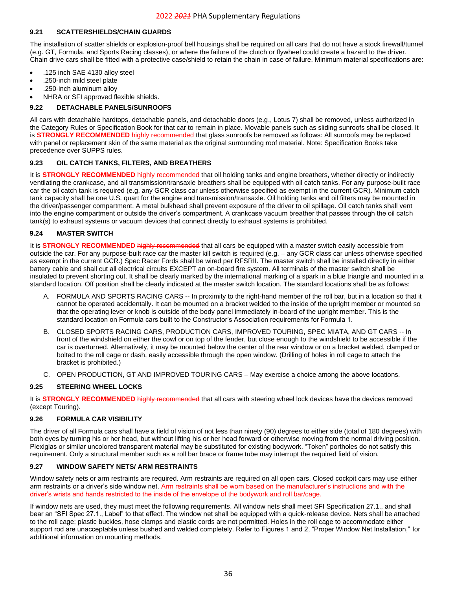#### **9.21 SCATTERSHIELDS/CHAIN GUARDS**

The installation of scatter shields or explosion-proof bell housings shall be required on all cars that do not have a stock firewall/tunnel (e.g. GT, Formula, and Sports Racing classes), or where the failure of the clutch or flywheel could create a hazard to the driver. Chain drive cars shall be fitted with a protective case/shield to retain the chain in case of failure. Minimum material specifications are:

- .125 inch SAE 4130 alloy steel
- .250-inch mild steel plate
- .250-inch aluminum alloy
- NHRA or SFI approved flexible shields.

## <span id="page-35-0"></span>**9.22 DETACHABLE PANELS/SUNROOFS**

All cars with detachable hardtops, detachable panels, and detachable doors (e.g., Lotus 7) shall be removed, unless authorized in the Category Rules or Specification Book for that car to remain in place. Movable panels such as sliding sunroofs shall be closed. It is **STRONGLY RECOMMENDED** highly recommended that glass sunroofs be removed as follows: All sunroofs may be replaced with panel or replacement skin of the same material as the original surrounding roof material. Note: Specification Books take precedence over SUPPS rules.

#### <span id="page-35-1"></span>**9.23 OIL CATCH TANKS, FILTERS, AND BREATHERS**

It is **STRONGLY RECOMMENDED** highly recommended that oil holding tanks and engine breathers, whether directly or indirectly ventilating the crankcase, and all transmission/transaxle breathers shall be equipped with oil catch tanks. For any purpose-built race car the oil catch tank is required (e.g. any GCR class car unless otherwise specified as exempt in the current GCR). Minimum catch tank capacity shall be one U.S. quart for the engine and transmission/transaxle. Oil holding tanks and oil filters may be mounted in the driver/passenger compartment. A metal bulkhead shall prevent exposure of the driver to oil spillage. Oil catch tanks shall vent into the engine compartment or outside the driver's compartment. A crankcase vacuum breather that passes through the oil catch tank(s) to exhaust systems or vacuum devices that connect directly to exhaust systems is prohibited.

#### <span id="page-35-2"></span>**9.24 MASTER SWITCH**

It is **STRONGLY RECOMMENDED** highly recommended that all cars be equipped with a master switch easily accessible from outside the car. For any purpose-built race car the master kill switch is required (e.g. – any GCR class car unless otherwise specified as exempt in the current GCR.) Spec Racer Fords shall be wired per RFSRII. The master switch shall be installed directly in either battery cable and shall cut all electrical circuits EXCEPT an on-board fire system. All terminals of the master switch shall be insulated to prevent shorting out. It shall be clearly marked by the international marking of a spark in a blue triangle and mounted in a standard location. Off position shall be clearly indicated at the master switch location. The standard locations shall be as follows:

- A. FORMULA AND SPORTS RACING CARS -- In proximity to the right-hand member of the roll bar, but in a location so that it cannot be operated accidentally. It can be mounted on a bracket welded to the inside of the upright member or mounted so that the operating lever or knob is outside of the body panel immediately in-board of the upright member. This is the standard location on Formula cars built to the Constructor's Association requirements for Formula 1.
- B. CLOSED SPORTS RACING CARS, PRODUCTION CARS, IMPROVED TOURING, SPEC MIATA, AND GT CARS -- In front of the windshield on either the cowl or on top of the fender, but close enough to the windshield to be accessible if the car is overturned. Alternatively, it may be mounted below the center of the rear window or on a bracket welded, clamped or bolted to the roll cage or dash, easily accessible through the open window. (Drilling of holes in roll cage to attach the bracket is prohibited.)
- C. OPEN PRODUCTION, GT AND IMPROVED TOURING CARS May exercise a choice among the above locations.

## <span id="page-35-3"></span>**9.25 STEERING WHEEL LOCKS**

It is **STRONGLY RECOMMENDED** highly recommended that all cars with steering wheel lock devices have the devices removed (except Touring).

#### <span id="page-35-4"></span>**9.26 FORMULA CAR VISIBILITY**

The driver of all Formula cars shall have a field of vision of not less than ninety (90) degrees to either side (total of 180 degrees) with both eyes by turning his or her head, but without lifting his or her head forward or otherwise moving from the normal driving position. Plexiglas or similar uncolored transparent material may be substituted for existing bodywork. "Token" portholes do not satisfy this requirement. Only a structural member such as a roll bar brace or frame tube may interrupt the required field of vision.

## <span id="page-35-5"></span>**9.27 WINDOW SAFETY NETS/ ARM RESTRAINTS**

Window safety nets or arm restraints are required. Arm restraints are required on all open cars. Closed cockpit cars may use either arm restraints or a driver's side window net. Arm restraints shall be worn based on the manufacturer's instructions and with the driver's wrists and hands restricted to the inside of the envelope of the bodywork and roll bar/cage.

If window nets are used, they must meet the following requirements. All window nets shall meet SFI Specification 27.1., and shall bear an "SFI Spec 27.1., Label" to that effect. The window net shall be equipped with a quick-release device. Nets shall be attached to the roll cage; plastic buckles, hose clamps and elastic cords are not permitted. Holes in the roll cage to accommodate either support rod are unacceptable unless bushed and welded completely. Refer to Figures 1 and 2, "Proper Window Net Installation," for additional information on mounting methods.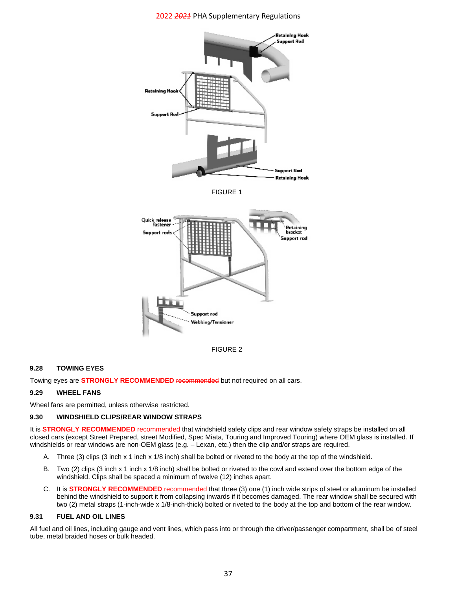





#### <span id="page-36-0"></span>**9.28 TOWING EYES**

Towing eyes are **STRONGLY RECOMMENDED** recommended but not required on all cars.

#### <span id="page-36-1"></span>**9.29 WHEEL FANS**

Wheel fans are permitted, unless otherwise restricted.

#### <span id="page-36-2"></span>**9.30 WINDSHIELD CLIPS/REAR WINDOW STRAPS**

It is **STRONGLY RECOMMENDED** recommended that windshield safety clips and rear window safety straps be installed on all closed cars (except Street Prepared, street Modified, Spec Miata, Touring and Improved Touring) where OEM glass is installed. If windshields or rear windows are non-OEM glass (e.g.  $-$  Lexan, etc.) then the clip and/or straps are required.

- A. Three (3) clips (3 inch x 1 inch x 1/8 inch) shall be bolted or riveted to the body at the top of the windshield.
- B. Two (2) clips (3 inch x 1 inch x 1/8 inch) shall be bolted or riveted to the cowl and extend over the bottom edge of the windshield. Clips shall be spaced a minimum of twelve (12) inches apart.
- C. It is **STRONGLY RECOMMENDED** recommended that three (3) one (1) inch wide strips of steel or aluminum be installed behind the windshield to support it from collapsing inwards if it becomes damaged. The rear window shall be secured with two (2) metal straps (1-inch-wide x 1/8-inch-thick) bolted or riveted to the body at the top and bottom of the rear window.

#### <span id="page-36-3"></span>**9.31 FUEL AND OIL LINES**

<span id="page-36-4"></span>All fuel and oil lines, including gauge and vent lines, which pass into or through the driver/passenger compartment, shall be of steel tube, metal braided hoses or bulk headed.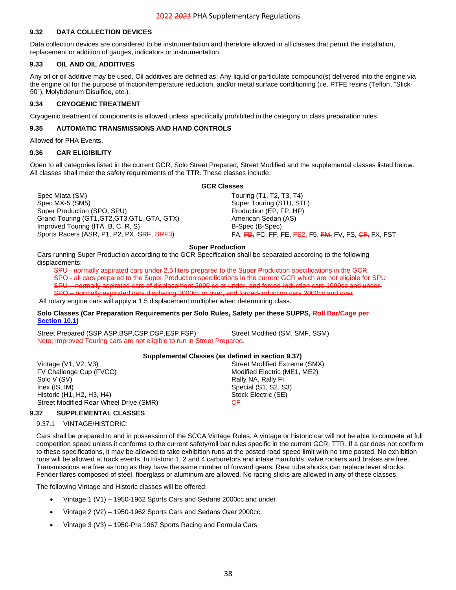#### **9.32 DATA COLLECTION DEVICES**

Data collection devices are considered to be instrumentation and therefore allowed in all classes that permit the installation, replacement or addition of gauges, indicators or instrumentation.

#### <span id="page-37-0"></span>**9.33 OIL AND OIL ADDITIVES**

Any oil or oil additive may be used. Oil additives are defined as: Any liquid or particulate compound(s) delivered into the engine via the engine oil for the purpose of friction/temperature reduction, and/or metal surface conditioning (i.e. PTFE resins (Teflon, "Slick-50"), Molybdenum Disulfide, etc.).

## <span id="page-37-1"></span>**9.34 CRYOGENIC TREATMENT**

Cryogenic treatment of components is allowed unless specifically prohibited in the category or class preparation rules.

#### <span id="page-37-2"></span>**9.35 AUTOMATIC TRANSMISSIONS AND HAND CONTROLS**

Allowed for PHA Events.

#### <span id="page-37-3"></span>**9.36 CAR ELIGIBILITY**

Open to all categories listed in the current GCR, Solo Street Prepared, Street Modified and the supplemental classes listed below. All classes shall meet the safety requirements of the TTR. These classes include:

Spec Miata (SM) Spec Miata (SM) Spec Miata (SM) Spec Miata (SM) Spec MX-5 (SM5) Super Touring (STU, STL) Super Production (SPO, SPU) example and the Production (EP, FP, HP) Grand Touring (GT1, GT2, GT3, GTL, GTA, GTX) American Sedan (AS) Improved Touring (ITA, B, C, R, S) B-Spec (B-Spec)

#### **GCR Classes**

Sports Racers (ASR, P1, P2, PX, SRF, SRF3) FA, FB, FC, FF, FE, FE, FE2, F5, FM, FV, FS, CF, FX, FST

#### **Super Production**

Cars running Super Production according to the GCR Specification shall be separated according to the following displacements:

SPU - normally aspirated cars under 2.5 liters prepared to the Super Production specifications in the GCR. SPO - all cars prepared to the Super Production specifications in the current GCR which are not eligible for SPU SPU – normally aspirated cars of displacement 2999 cc or under, and forced-induction cars 1999cc and under-SPO – normally aspirated cars displacing 3000cc or over, and forced-induction cars 2000cc and over

All rotary engine cars will apply a 1.5 displacement multiplier when determining class.

#### **Solo Classes (Car Preparation Requirements per Solo Rules, Safety per these SUPPS, Roll Bar/Cage per [Section](#page-42-1) 10.1)**

Street Prepared (SSP,ASP,BSP,CSP,DSP,ESP,FSP) Street Modified (SM, SMF, SSM) Note: Improved Touring cars are not eligible to run in Street Prepared.

#### **Supplemental Classes (as defined in section [9.37\)](#page-37-4)**

Vintage (V1, V2, V3) Street Modified Extreme (SMX) FV Challenge Cup (FVCC) The Cup of the Contract of Modified Electric (ME1, ME2) Solo V (SV) Rally NA, Rally FI Inex (IS, IM) Special (S1, S2, S3) Historic (H1, H2, H3, H4) Stock Electric (SE) Street Modified Rear Wheel Drive (SMR) CF

#### <span id="page-37-5"></span><span id="page-37-4"></span>**9.37 SUPPLEMENTAL CLASSES**

#### 9.37.1 VINTAGE/HISTORIC:

Cars shall be prepared to and in possession of the SCCA Vintage Rules. A vintage or historic car will not be able to compete at full competition speed unless it conforms to the current safety/roll bar rules specific in the current GCR, TTR. If a car does not conform to these specifications, it may be allowed to take exhibition runs at the posted road speed limit with no time posted. No exhibition runs will be allowed at track events. In Historic 1, 2 and 4 carburetors and intake manifolds, valve rockers and brakes are free. Transmissions are free as long as they have the same number of forward gears. Rear tube shocks can replace lever shocks. Fender flares composed of steel, fiberglass or aluminum are allowed. No racing slicks are allowed in any of these classes.

The following Vintage and Historic classes will be offered:

- Vintage 1 (V1) 1950-1962 Sports Cars and Sedans 2000cc and under
- Vintage 2 (V2) 1950-1962 Sports Cars and Sedans Over 2000cc
- Vintage 3 (V3) 1950-Pre 1967 Sports Racing and Formula Cars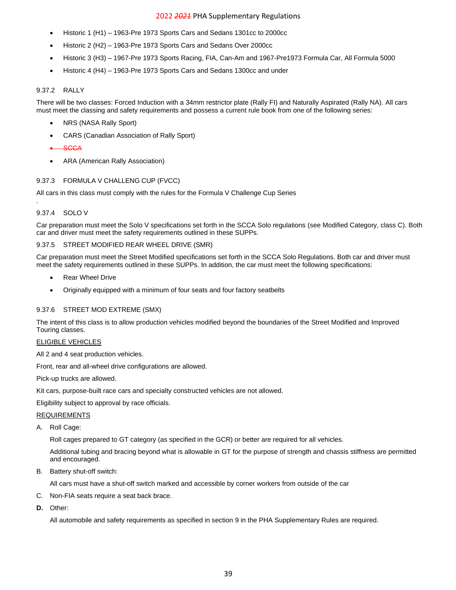- Historic 1 (H1) 1963-Pre 1973 Sports Cars and Sedans 1301cc to 2000cc
- Historic 2 (H2) 1963-Pre 1973 Sports Cars and Sedans Over 2000cc
- Historic 3 (H3) 1967-Pre 1973 Sports Racing, FIA, Can-Am and 1967-Pre1973 Formula Car, All Formula 5000
- Historic 4 (H4) 1963-Pre 1973 Sports Cars and Sedans 1300cc and under

#### <span id="page-38-0"></span>9.37.2 RALLY

There will be two classes: Forced Induction with a 34mm restrictor plate (Rally FI) and Naturally Aspirated (Rally NA). All cars must meet the classing and safety requirements and possess a current rule book from one of the following series:

- NRS (NASA Rally Sport)
- CARS (Canadian Association of Rally Sport)

#### • SCCA

• ARA (American Rally Association)

#### <span id="page-38-1"></span>9.37.3 FORMULA V CHALLENG CUP (FVCC)

All cars in this class must comply with the rules for the Formula V Challenge Cup Series

#### <span id="page-38-2"></span>9.37.4 SOLO V

.

Car preparation must meet the Solo V specifications set forth in the SCCA Solo regulations (see Modified Category, class C). Both car and driver must meet the safety requirements outlined in these SUPPs.

#### <span id="page-38-3"></span>9.37.5 STREET MODIFIED REAR WHEEL DRIVE (SMR)

Car preparation must meet the Street Modified specifications set forth in the SCCA Solo Regulations. Both car and driver must meet the safety requirements outlined in these SUPPs. In addition, the car must meet the following specifications:

- **Rear Wheel Drive**
- Originally equipped with a minimum of four seats and four factory seatbelts

#### <span id="page-38-4"></span>9.37.6 STREET MOD EXTREME (SMX)

The intent of this class is to allow production vehicles modified beyond the boundaries of the Street Modified and Improved Touring classes.

## ELIGIBLE VEHICLES

All 2 and 4 seat production vehicles.

Front, rear and all-wheel drive configurations are allowed.

Pick-up trucks are allowed.

Kit cars, purpose-built race cars and specialty constructed vehicles are not allowed.

Eligibility subject to approval by race officials.

#### REQUIREMENTS

A. Roll Cage:

Roll cages prepared to GT category (as specified in the GCR) or better are required for all vehicles.

Additional tubing and bracing beyond what is allowable in GT for the purpose of strength and chassis stiffness are permitted and encouraged.

B. Battery shut-off switch:

All cars must have a shut-off switch marked and accessible by corner workers from outside of the car

- C. Non-FIA seats require a seat back brace.
- **D.** Other:

All automobile and safety requirements as specified in section [9](#page-31-0) in the PHA Supplementary Rules are required.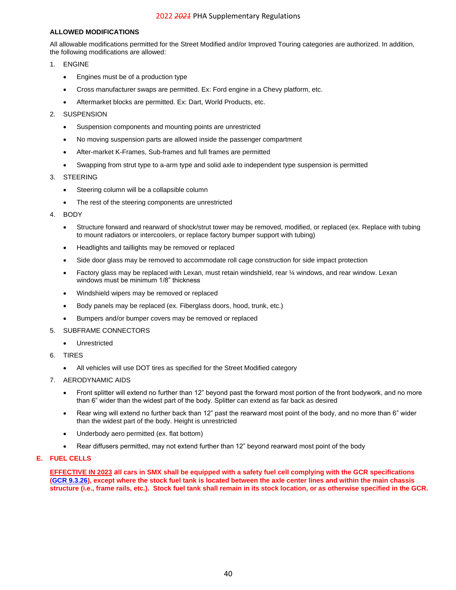## **ALLOWED MODIFICATIONS**

All allowable modifications permitted for the Street Modified and/or Improved Touring categories are authorized. In addition, the following modifications are allowed:

- 1. ENGINE
	- Engines must be of a production type
	- Cross manufacturer swaps are permitted. Ex: Ford engine in a Chevy platform, etc.
	- Aftermarket blocks are permitted. Ex: Dart, World Products, etc.
- 2. SUSPENSION
	- Suspension components and mounting points are unrestricted
	- No moving suspension parts are allowed inside the passenger compartment
	- After-market K-Frames, Sub-frames and full frames are permitted
	- Swapping from strut type to a-arm type and solid axle to independent type suspension is permitted

#### 3. STEERING

- Steering column will be a collapsible column
- The rest of the steering components are unrestricted
- 4. BODY
	- Structure forward and rearward of shock/strut tower may be removed, modified, or replaced (ex. Replace with tubing to mount radiators or intercoolers, or replace factory bumper support with tubing)
	- Headlights and taillights may be removed or replaced
	- Side door glass may be removed to accommodate roll cage construction for side impact protection
	- Factory glass may be replaced with Lexan, must retain windshield, rear ¼ windows, and rear window. Lexan windows must be minimum 1/8" thickness
	- Windshield wipers may be removed or replaced
	- Body panels may be replaced (ex. Fiberglass doors, hood, trunk, etc.)
	- Bumpers and/or bumper covers may be removed or replaced
- 5. SUBFRAME CONNECTORS
	- Unrestricted
- 6. TIRES
	- All vehicles will use DOT tires as specified for the Street Modified category
- 7. AERODYNAMIC AIDS
	- Front splitter will extend no further than 12" beyond past the forward most portion of the front bodywork, and no more than 6" wider than the widest part of the body. Splitter can extend as far back as desired
	- Rear wing will extend no further back than 12" past the rearward most point of the body, and no more than 6" wider than the widest part of the body. Height is unrestricted
	- Underbody aero permitted (ex. flat bottom)
	- Rear diffusers permitted, may not extend further than 12" beyond rearward most point of the body

## **E. FUEL CELLS**

<span id="page-39-0"></span>**EFFECTIVE IN 2023 all cars in SMX shall be equipped with a safety fuel cell complying with the GCR specifications [\(GCR 9.3.26\)](https://www.scca.com/pages/cars-and-rules), except where the stock fuel tank is located between the axle center lines and within the main chassis structure (i.e., frame rails, etc.). Stock fuel tank shall remain in its stock location, or as otherwise specified in the GCR.**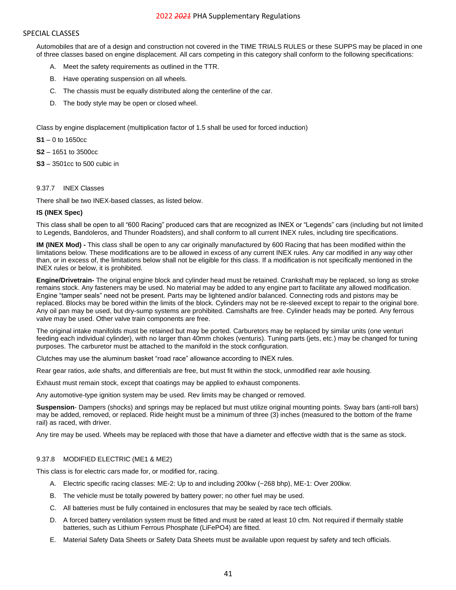#### SPECIAL CLASSES

Automobiles that are of a design and construction not covered in the TIME TRIALS RULES or these SUPPS may be placed in one of three classes based on engine displacement. All cars competing in this category shall conform to the following specifications:

- A. Meet the safety requirements as outlined in the TTR.
- B. Have operating suspension on all wheels.
- C. The chassis must be equally distributed along the centerline of the car.
- D. The body style may be open or closed wheel.

Class by engine displacement (multiplication factor of 1.5 shall be used for forced induction)

**S1** – 0 to 1650cc

**S2** – 1651 to 3500cc

**S3** – 3501cc to 500 cubic in

#### <span id="page-40-0"></span>9.37.7 INEX Classes

There shall be two INEX-based classes, as listed below.

#### **IS (INEX Spec)**

This class shall be open to all "600 Racing" produced cars that are recognized as INEX or "Legends" cars (including but not limited to Legends, Bandoleros, and Thunder Roadsters), and shall conform to all current INEX rules, including tire specifications.

**IM (INEX Mod) -** This class shall be open to any car originally manufactured by 600 Racing that has been modified within the limitations below. These modifications are to be allowed in excess of any current INEX rules. Any car modified in any way other than, or in excess of, the limitations below shall not be eligible for this class. If a modification is not specifically mentioned in the INEX rules or below, it is prohibited.

**Engine/Drivetrain-** The original engine block and cylinder head must be retained. Crankshaft may be replaced, so long as stroke remains stock. Any fasteners may be used. No material may be added to any engine part to facilitate any allowed modification. Engine "tamper seals" need not be present. Parts may be lightened and/or balanced. Connecting rods and pistons may be replaced. Blocks may be bored within the limits of the block. Cylinders may not be re-sleeved except to repair to the original bore. Any oil pan may be used, but dry-sump systems are prohibited. Camshafts are free. Cylinder heads may be ported. Any ferrous valve may be used. Other valve train components are free.

The original intake manifolds must be retained but may be ported. Carburetors may be replaced by similar units (one venturi feeding each individual cylinder), with no larger than 40mm chokes (venturis). Tuning parts (jets, etc.) may be changed for tuning purposes. The carburetor must be attached to the manifold in the stock configuration.

Clutches may use the aluminum basket "road race" allowance according to INEX rules.

Rear gear ratios, axle shafts, and differentials are free, but must fit within the stock, unmodified rear axle housing.

Exhaust must remain stock, except that coatings may be applied to exhaust components.

Any automotive-type ignition system may be used. Rev limits may be changed or removed.

**Suspension**- Dampers (shocks) and springs may be replaced but must utilize original mounting points. Sway bars (anti-roll bars) may be added, removed, or replaced. Ride height must be a minimum of three (3) inches (measured to the bottom of the frame rail) as raced, with driver.

Any tire may be used. Wheels may be replaced with those that have a diameter and effective width that is the same as stock.

## <span id="page-40-1"></span>9.37.8 MODIFIED ELECTRIC (ME1 & ME2)

This class is for electric cars made for, or modified for, racing.

- A. Electric specific racing classes: ME-2: Up to and including 200kw (~268 bhp), ME-1: Over 200kw.
- B. The vehicle must be totally powered by battery power; no other fuel may be used.
- C. All batteries must be fully contained in enclosures that may be sealed by race tech officials.
- D. A forced battery ventilation system must be fitted and must be rated at least 10 cfm. Not required if thermally stable batteries, such as Lithium Ferrous Phosphate (LiFePO4) are fitted.
- E. Material Safety Data Sheets or Safety Data Sheets must be available upon request by safety and tech officials.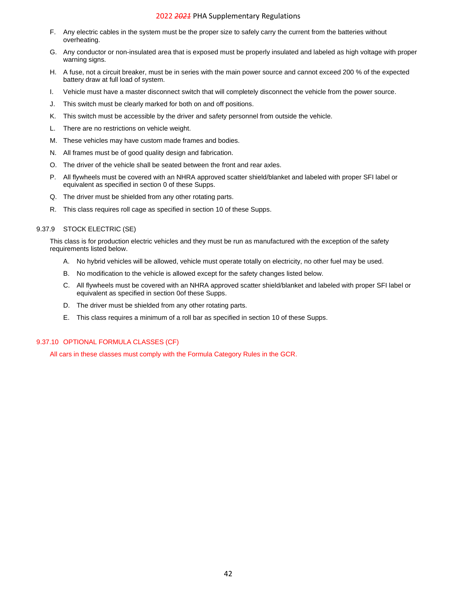- F. Any electric cables in the system must be the proper size to safely carry the current from the batteries without overheating.
- G. Any conductor or non-insulated area that is exposed must be properly insulated and labeled as high voltage with proper warning signs.
- H. A fuse, not a circuit breaker, must be in series with the main power source and cannot exceed 200 % of the expected battery draw at full load of system.
- I. Vehicle must have a master disconnect switch that will completely disconnect the vehicle from the power source.
- J. This switch must be clearly marked for both on and off positions.
- K. This switch must be accessible by the driver and safety personnel from outside the vehicle.
- L. There are no restrictions on vehicle weight.
- M. These vehicles may have custom made frames and bodies.
- N. All frames must be of good quality design and fabrication.
- O. The driver of the vehicle shall be seated between the front and rear axles.
- P. All flywheels must be covered with an NHRA approved scatter shield/blanket and labeled with proper SFI label or equivalent as specified in section [0](#page-34-1) of these Supps.
- Q. The driver must be shielded from any other rotating parts.
- R. This class requires roll cage as specified in section [10](#page-42-0) of these Supps.

#### <span id="page-41-0"></span>9.37.9 STOCK ELECTRIC (SE)

This class is for production electric vehicles and they must be run as manufactured with the exception of the safety requirements listed below.

- A. No hybrid vehicles will be allowed, vehicle must operate totally on electricity, no other fuel may be used.
- B. No modification to the vehicle is allowed except for the safety changes listed below.
- C. All flywheels must be covered with an NHRA approved scatter shield/blanket and labeled with proper SFI label or equivalent as specified in section [0o](#page-34-1)f these Supps.
- D. The driver must be shielded from any other rotating parts.
- E. This class requires a minimum of a roll bar as specified in section [10](#page-42-0) of these Supps.

#### 9.37.10 OPTIONAL FORMULA CLASSES (CF)

All cars in these classes must comply with the Formula Category Rules in the GCR.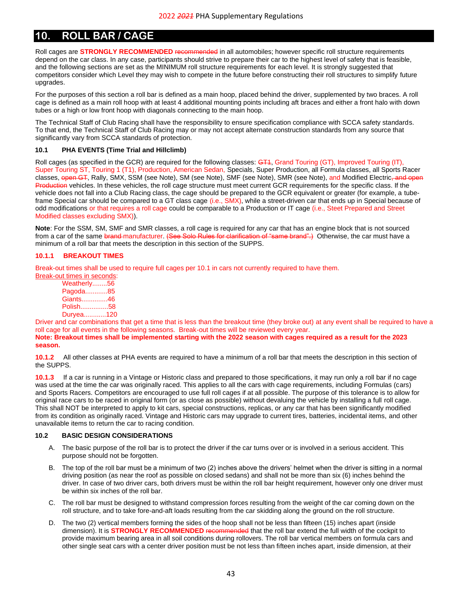## <span id="page-42-0"></span>**10. ROLL BAR / CAGE**

Roll cages are **STRONGLY RECOMMENDED** recommended in all automobiles; however specific roll structure requirements depend on the car class. In any case, participants should strive to prepare their car to the highest level of safety that is feasible, and the following sections are set as the MINIMUM roll structure requirements for each level. It is strongly suggested that competitors consider which Level they may wish to compete in the future before constructing their roll structures to simplify future upgrades.

For the purposes of this section a roll bar is defined as a main hoop, placed behind the driver, supplemented by two braces. A roll cage is defined as a main roll hoop with at least 4 additional mounting points including aft braces and either a front halo with down tubes or a high or low front hoop with diagonals connecting to the main hoop.

The Technical Staff of Club Racing shall have the responsibility to ensure specification compliance with SCCA safety standards. To that end, the Technical Staff of Club Racing may or may not accept alternate construction standards from any source that significantly vary from SCCA standards of protection.

## <span id="page-42-1"></span>**10.1 PHA EVENTS (Time Trial and Hillclimb)**

Roll cages (as specified in the GCR) are required for the following classes: GT4, Grand Touring (GT), Improved Touring (IT), Super Touring ST, Touring 1 (T1), Production, American Sedan, Specials, Super Production, all Formula classes, all Sports Racer classes, open GT, Rally, SMX, SSM (see Note), SM (see Note), SMF (see Note), SMR (see Note), and Modified Electric<del>, and open</del> Production vehicles. In these vehicles, the roll cage structure must meet current GCR requirements for the specific class. If the vehicle does not fall into a Club Racing class, the cage should be prepared to the GCR equivalent or greater (for example, a tubeframe Special car should be compared to a GT class cage (i.e., SMX), while a street-driven car that ends up in Special because of odd modifications or that requires a roll cage could be comparable to a Production or IT cage (i.e., Steet Prepared and Street Modified classes excluding SMX)).

**Note**: For the SSM, SM, SMF and SMR classes, a roll cage is required for any car that has an engine block that is not sourced from a car of the same brand manufacturer. (See Solo Rules for clarification of "same brand".) Otherwise, the car must have a minimum of a roll bar that meets the description in this section of the SUPPS.

#### **10.1.1 BREAKOUT TIMES**

Break-out times shall be used to require full cages per 10.1 in cars not currently required to have them.

| Break-out times in seconds: |  |
|-----------------------------|--|
| Weatherly56                 |  |
| Pagoda85                    |  |
| Giants46                    |  |
| Polish58                    |  |
| Duryea120                   |  |

Driver and car combinations that get a time that is less than the breakout time (they broke out) at any event shall be required to have a roll cage for all events in the following seasons. Break-out times will be reviewed every year. **Note: Breakout times shall be implemented starting with the 2022 season with cages required as a result for the 2023** 

## **season.**

**10.1.2** All other classes at PHA events are required to have a minimum of a roll bar that meets the description in this section of the SUPPS.

**10.1.3** If a car is running in a Vintage or Historic class and prepared to those specifications, it may run only a roll bar if no cage was used at the time the car was originally raced. This applies to all the cars with cage requirements, including Formulas (cars) and Sports Racers. Competitors are encouraged to use full roll cages if at all possible. The purpose of this tolerance is to allow for original race cars to be raced in original form (or as close as possible) without devaluing the vehicle by installing a full roll cage. This shall NOT be interpreted to apply to kit cars, special constructions, replicas, or any car that has been significantly modified from its condition as originally raced. Vintage and Historic cars may upgrade to current tires, batteries, incidental items, and other unavailable items to return the car to racing condition.

## <span id="page-42-2"></span>**10.2 BASIC DESIGN CONSIDERATIONS**

- A. The basic purpose of the roll bar is to protect the driver if the car turns over or is involved in a serious accident. This purpose should not be forgotten.
- B. The top of the roll bar must be a minimum of two (2) inches above the drivers' helmet when the driver is sitting in a normal driving position (as near the roof as possible on closed sedans) and shall not be more than six (6) inches behind the driver. In case of two driver cars, both drivers must be within the roll bar height requirement, however only one driver must be within six inches of the roll bar.
- C. The roll bar must be designed to withstand compression forces resulting from the weight of the car coming down on the roll structure, and to take fore-and-aft loads resulting from the car skidding along the ground on the roll structure.
- D. The two (2) vertical members forming the sides of the hoop shall not be less than fifteen (15) inches apart (inside dimension). It is **STRONGLY RECOMMENDED** recommended that the roll bar extend the full width of the cockpit to provide maximum bearing area in all soil conditions during rollovers. The roll bar vertical members on formula cars and other single seat cars with a center driver position must be not less than fifteen inches apart, inside dimension, at their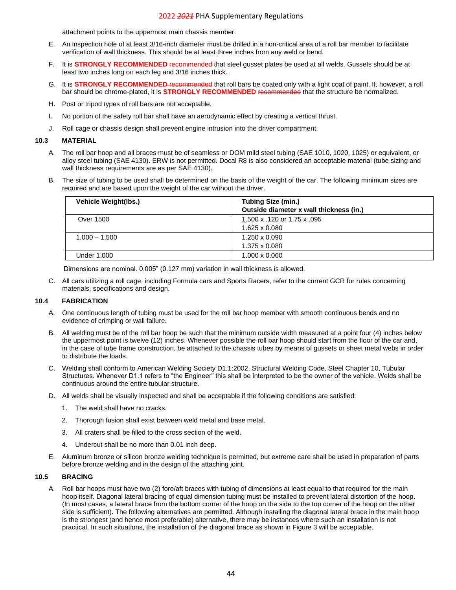attachment points to the uppermost main chassis member.

- E. An inspection hole of at least 3/16-inch diameter must be drilled in a non-critical area of a roll bar member to facilitate verification of wall thickness. This should be at least three inches from any weld or bend.
- F. It is **STRONGLY RECOMMENDED** recommended that steel gusset plates be used at all welds. Gussets should be at least two inches long on each leg and 3/16 inches thick.
- G. It is **STRONGLY RECOMMENDED** recommended that roll bars be coated only with a light coat of paint. If, however, a roll bar should be chrome-plated, it is **STRONGLY RECOMMENDED** recommended that the structure be normalized.
- H. Post or tripod types of roll bars are not acceptable.
- I. No portion of the safety roll bar shall have an aerodynamic effect by creating a vertical thrust.
- J. Roll cage or chassis design shall prevent engine intrusion into the driver compartment.

#### <span id="page-43-0"></span>**10.3 MATERIAL**

- A. The roll bar hoop and all braces must be of seamless or DOM mild steel tubing (SAE 1010, 1020, 1025) or equivalent, or alloy steel tubing (SAE 4130). ERW is not permitted. Docal R8 is also considered an acceptable material (tube sizing and wall thickness requirements are as per SAE 4130).
- B. The size of tubing to be used shall be determined on the basis of the weight of the car. The following minimum sizes are required and are based upon the weight of the car without the driver.

| <b>Vehicle Weight(lbs.)</b> | <b>Tubing Size (min.)</b><br>Outside diameter x wall thickness (in.) |
|-----------------------------|----------------------------------------------------------------------|
| <b>Over 1500</b>            | 1.500 x .120 or 1.75 x .095                                          |
|                             | $1.625 \times 0.080$                                                 |
| $1,000 - 1,500$             | $1.250 \times 0.090$                                                 |
|                             | 1.375 x 0.080                                                        |
| Under 1,000                 | $1.000 \times 0.060$                                                 |

Dimensions are nominal. 0.005" (0.127 mm) variation in wall thickness is allowed.

C. All cars utilizing a roll cage, including Formula cars and Sports Racers, refer to the current GCR for rules concerning materials, specifications and design.

#### <span id="page-43-1"></span>**10.4 FABRICATION**

- A. One continuous length of tubing must be used for the roll bar hoop member with smooth continuous bends and no evidence of crimping or wall failure.
- B. All welding must be of the roll bar hoop be such that the minimum outside width measured at a point four (4) inches below the uppermost point is twelve (12) inches. Whenever possible the roll bar hoop should start from the floor of the car and, in the case of tube frame construction, be attached to the chassis tubes by means of gussets or sheet metal webs in order to distribute the loads.
- C. Welding shall conform to American Welding Society D1.1:2002, Structural Welding Code, Steel Chapter 10, Tubular Structures. Whenever D1.1 refers to "the Engineer" this shall be interpreted to be the owner of the vehicle. Welds shall be continuous around the entire tubular structure.
- D. All welds shall be visually inspected and shall be acceptable if the following conditions are satisfied:
	- 1. The weld shall have no cracks.
	- 2. Thorough fusion shall exist between weld metal and base metal.
	- 3. All craters shall be filled to the cross section of the weld.
	- 4. Undercut shall be no more than 0.01 inch deep.
- E. Aluminum bronze or silicon bronze welding technique is permitted, but extreme care shall be used in preparation of parts before bronze welding and in the design of the attaching joint.

#### <span id="page-43-2"></span>**10.5 BRACING**

A. Roll bar hoops must have two (2) fore/aft braces with tubing of dimensions at least equal to that required for the main hoop itself. Diagonal lateral bracing of equal dimension tubing must be installed to prevent lateral distortion of the hoop. (In most cases, a lateral brace from the bottom corner of the hoop on the side to the top corner of the hoop on the other side is sufficient). The following alternatives are permitted. Although installing the diagonal lateral brace in the main hoop is the strongest (and hence most preferable) alternative, there may be instances where such an installation is not practical. In such situations, the installation of the diagonal brace as shown in Figure 3 will be acceptable.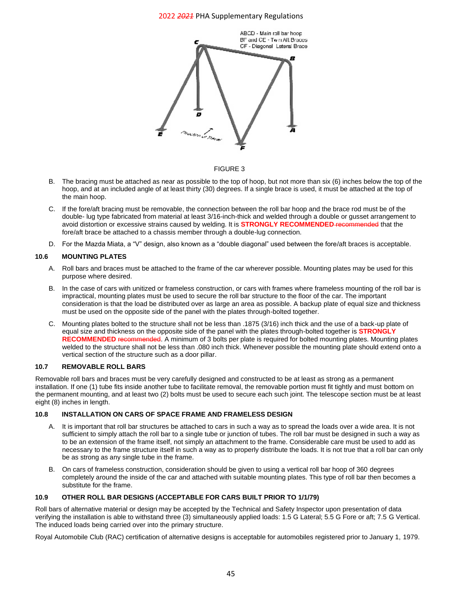

#### FIGURE 3

- B. The bracing must be attached as near as possible to the top of hoop, but not more than six (6) inches below the top of the hoop, and at an included angle of at least thirty (30) degrees. If a single brace is used, it must be attached at the top of the main hoop.
- C. If the fore/aft bracing must be removable, the connection between the roll bar hoop and the brace rod must be of the double- lug type fabricated from material at least 3/16-inch-thick and welded through a double or gusset arrangement to avoid distortion or excessive strains caused by welding. It is **STRONGLY RECOMMENDED** recommended that the fore/aft brace be attached to a chassis member through a double-lug connection.
- D. For the Mazda Miata, a "V" design, also known as a "double diagonal" used between the fore/aft braces is acceptable.

#### <span id="page-44-0"></span>**10.6 MOUNTING PLATES**

- A. Roll bars and braces must be attached to the frame of the car wherever possible. Mounting plates may be used for this purpose where desired.
- B. In the case of cars with unitized or frameless construction, or cars with frames where frameless mounting of the roll bar is impractical, mounting plates must be used to secure the roll bar structure to the floor of the car. The important consideration is that the load be distributed over as large an area as possible. A backup plate of equal size and thickness must be used on the opposite side of the panel with the plates through-bolted together.
- C. Mounting plates bolted to the structure shall not be less than .1875 (3/16) inch thick and the use of a back-up plate of equal size and thickness on the opposite side of the panel with the plates through-bolted together is **STRONGLY**  RECOMMENDED recommended. A minimum of 3 bolts per plate is required for bolted mounting plates. Mounting plates welded to the structure shall not be less than .080 inch thick. Whenever possible the mounting plate should extend onto a vertical section of the structure such as a door pillar.

### <span id="page-44-1"></span>**10.7 REMOVABLE ROLL BARS**

Removable roll bars and braces must be very carefully designed and constructed to be at least as strong as a permanent installation. If one (1) tube fits inside another tube to facilitate removal, the removable portion must fit tightly and must bottom on the permanent mounting, and at least two (2) bolts must be used to secure each such joint. The telescope section must be at least eight (8) inches in length.

## <span id="page-44-2"></span>**10.8 INSTALLATION ON CARS OF SPACE FRAME AND FRAMELESS DESIGN**

- A. It is important that roll bar structures be attached to cars in such a way as to spread the loads over a wide area. It is not sufficient to simply attach the roll bar to a single tube or junction of tubes. The roll bar must be designed in such a way as to be an extension of the frame itself, not simply an attachment to the frame. Considerable care must be used to add as necessary to the frame structure itself in such a way as to properly distribute the loads. It is not true that a roll bar can only be as strong as any single tube in the frame.
- B. On cars of frameless construction, consideration should be given to using a vertical roll bar hoop of 360 degrees completely around the inside of the car and attached with suitable mounting plates. This type of roll bar then becomes a substitute for the frame.

#### <span id="page-44-3"></span>**10.9 OTHER ROLL BAR DESIGNS (ACCEPTABLE FOR CARS BUILT PRIOR TO 1/1/79)**

Roll bars of alternative material or design may be accepted by the Technical and Safety Inspector upon presentation of data verifying the installation is able to withstand three (3) simultaneously applied loads: 1.5 G Lateral; 5.5 G Fore or aft; 7.5 G Vertical. The induced loads being carried over into the primary structure.

<span id="page-44-4"></span>Royal Automobile Club (RAC) certification of alternative designs is acceptable for automobiles registered prior to January 1, 1979.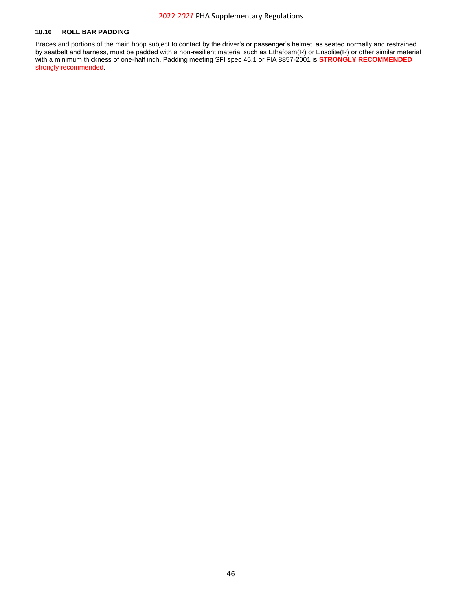#### **10.10 ROLL BAR PADDING**

Braces and portions of the main hoop subject to contact by the driver's or passenger's helmet, as seated normally and restrained by seatbelt and harness, must be padded with a non-resilient material such as Ethafoam(R) or Ensolite(R) or other similar material with a minimum thickness of one-half inch. Padding meeting SFI spec 45.1 or FIA 8857-2001 is **STRONGLY RECOMMENDED** strongly recommended.